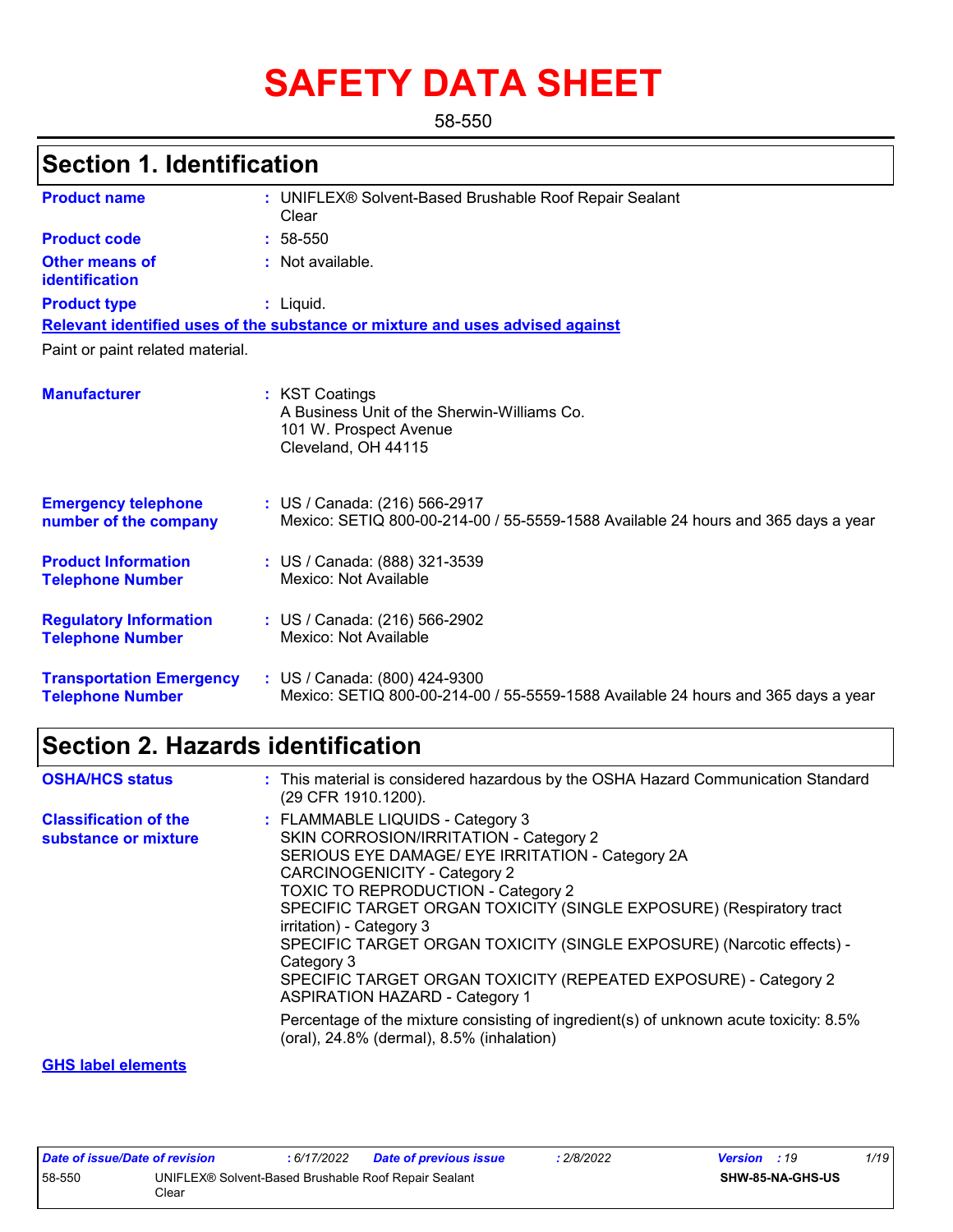# **SAFETY DATA SHEET**

58-550

#### UNIFLEX® Solvent-Based Brushable Roof Repair Sealant **:** Clear **:** Not available. Liquid. **:** US / Canada: (216) 566-2917 **:** Mexico: SETIQ 800-00-214-00 / 55-5559-1588 Available 24 hours and 365 days a year **Product name Other means of identification Product type Emergency telephone number of the company Section 1. Identification Manufacturer :** KST Coatings A Business Unit of the Sherwin-Williams Co. 101 W. Prospect Avenue Cleveland, OH 44115 **Relevant identified uses of the substance or mixture and uses advised against** Paint or paint related material. **Product code :** 58-550 **Product Information Telephone Number :** US / Canada: (888) 321-3539 Mexico: Not Available **Regulatory Information Telephone Number :** US / Canada: (216) 566-2902 Mexico: Not Available **Transportation Emergency Telephone Number :** US / Canada: (800) 424-9300 Mexico: SETIQ 800-00-214-00 / 55-5559-1588 Available 24 hours and 365 days a year

### **Section 2. Hazards identification**

| <b>OSHA/HCS status</b>                               | : This material is considered hazardous by the OSHA Hazard Communication Standard<br>(29 CFR 1910.1200).                                                                                                                                                                                                                                                                                                                                                                                                                                                                                                                                                             |
|------------------------------------------------------|----------------------------------------------------------------------------------------------------------------------------------------------------------------------------------------------------------------------------------------------------------------------------------------------------------------------------------------------------------------------------------------------------------------------------------------------------------------------------------------------------------------------------------------------------------------------------------------------------------------------------------------------------------------------|
| <b>Classification of the</b><br>substance or mixture | : FLAMMABLE LIQUIDS - Category 3<br>SKIN CORROSION/IRRITATION - Category 2<br>SERIOUS EYE DAMAGE/ EYE IRRITATION - Category 2A<br><b>CARCINOGENICITY - Category 2</b><br><b>TOXIC TO REPRODUCTION - Category 2</b><br>SPECIFIC TARGET ORGAN TOXICITY (SINGLE EXPOSURE) (Respiratory tract<br>irritation) - Category 3<br>SPECIFIC TARGET ORGAN TOXICITY (SINGLE EXPOSURE) (Narcotic effects) -<br>Category 3<br>SPECIFIC TARGET ORGAN TOXICITY (REPEATED EXPOSURE) - Category 2<br><b>ASPIRATION HAZARD - Category 1</b><br>Percentage of the mixture consisting of ingredient(s) of unknown acute toxicity: 8.5%<br>(oral), $24.8\%$ (dermal), $8.5\%$ (inhalation) |
|                                                      |                                                                                                                                                                                                                                                                                                                                                                                                                                                                                                                                                                                                                                                                      |

#### **GHS label elements**

| Date of issue/Date of revision |                                                               | 6/17/2022 | <b>Date of previous issue</b> | 2/8/2022 | <b>Version</b> : 19 |                         | 1/19 |
|--------------------------------|---------------------------------------------------------------|-----------|-------------------------------|----------|---------------------|-------------------------|------|
| 58-550                         | UNIFLEX® Solvent-Based Brushable Roof Repair Sealant<br>Clear |           |                               |          |                     | <b>SHW-85-NA-GHS-US</b> |      |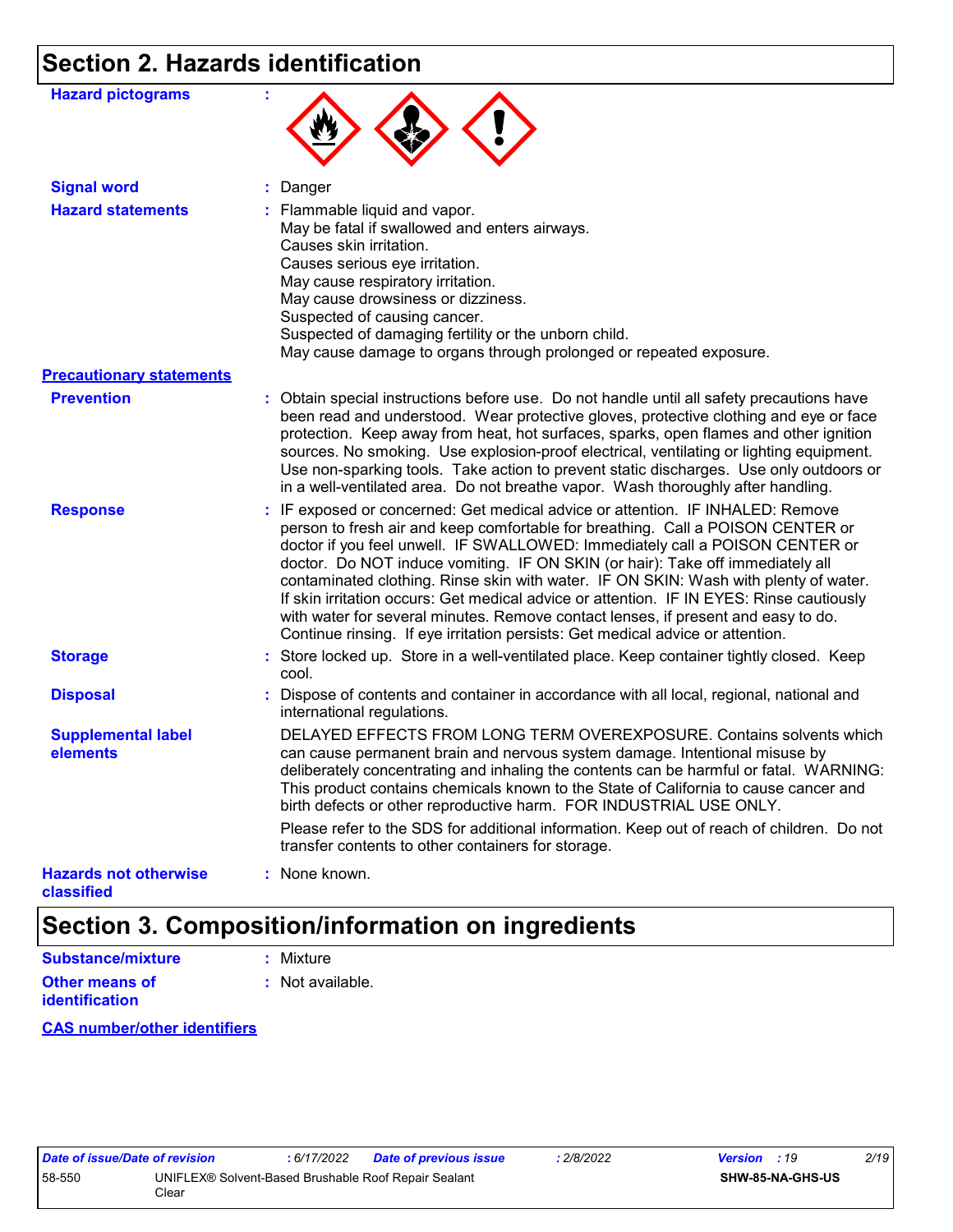# **Section 2. Hazards identification**

| <b>Hazard pictograms</b>                   |                                                                                                                                                                                                                                                                                                                                                                                                                                                                                                                                                                                                                                                                                                |
|--------------------------------------------|------------------------------------------------------------------------------------------------------------------------------------------------------------------------------------------------------------------------------------------------------------------------------------------------------------------------------------------------------------------------------------------------------------------------------------------------------------------------------------------------------------------------------------------------------------------------------------------------------------------------------------------------------------------------------------------------|
| <b>Signal word</b>                         | : Danger                                                                                                                                                                                                                                                                                                                                                                                                                                                                                                                                                                                                                                                                                       |
| <b>Hazard statements</b>                   | : Flammable liquid and vapor.<br>May be fatal if swallowed and enters airways.<br>Causes skin irritation.<br>Causes serious eye irritation.<br>May cause respiratory irritation.<br>May cause drowsiness or dizziness.<br>Suspected of causing cancer.<br>Suspected of damaging fertility or the unborn child.<br>May cause damage to organs through prolonged or repeated exposure.                                                                                                                                                                                                                                                                                                           |
| <b>Precautionary statements</b>            |                                                                                                                                                                                                                                                                                                                                                                                                                                                                                                                                                                                                                                                                                                |
| <b>Prevention</b>                          | : Obtain special instructions before use. Do not handle until all safety precautions have<br>been read and understood. Wear protective gloves, protective clothing and eye or face<br>protection. Keep away from heat, hot surfaces, sparks, open flames and other ignition<br>sources. No smoking. Use explosion-proof electrical, ventilating or lighting equipment.<br>Use non-sparking tools. Take action to prevent static discharges. Use only outdoors or<br>in a well-ventilated area. Do not breathe vapor. Wash thoroughly after handling.                                                                                                                                           |
| <b>Response</b>                            | : IF exposed or concerned: Get medical advice or attention. IF INHALED: Remove<br>person to fresh air and keep comfortable for breathing. Call a POISON CENTER or<br>doctor if you feel unwell. IF SWALLOWED: Immediately call a POISON CENTER or<br>doctor. Do NOT induce vomiting. IF ON SKIN (or hair): Take off immediately all<br>contaminated clothing. Rinse skin with water. IF ON SKIN: Wash with plenty of water.<br>If skin irritation occurs: Get medical advice or attention. IF IN EYES: Rinse cautiously<br>with water for several minutes. Remove contact lenses, if present and easy to do.<br>Continue rinsing. If eye irritation persists: Get medical advice or attention. |
| <b>Storage</b>                             | : Store locked up. Store in a well-ventilated place. Keep container tightly closed. Keep<br>cool.                                                                                                                                                                                                                                                                                                                                                                                                                                                                                                                                                                                              |
| <b>Disposal</b>                            | : Dispose of contents and container in accordance with all local, regional, national and<br>international regulations.                                                                                                                                                                                                                                                                                                                                                                                                                                                                                                                                                                         |
| <b>Supplemental label</b><br>elements      | DELAYED EFFECTS FROM LONG TERM OVEREXPOSURE. Contains solvents which<br>can cause permanent brain and nervous system damage. Intentional misuse by<br>deliberately concentrating and inhaling the contents can be harmful or fatal. WARNING:<br>This product contains chemicals known to the State of California to cause cancer and<br>birth defects or other reproductive harm. FOR INDUSTRIAL USE ONLY.                                                                                                                                                                                                                                                                                     |
|                                            | Please refer to the SDS for additional information. Keep out of reach of children. Do not<br>transfer contents to other containers for storage.                                                                                                                                                                                                                                                                                                                                                                                                                                                                                                                                                |
| <b>Hazards not otherwise</b><br>classified | : None known.                                                                                                                                                                                                                                                                                                                                                                                                                                                                                                                                                                                                                                                                                  |

### **Section 3. Composition/information on ingredients**

| Substance/mixture                       | : Mixture        |
|-----------------------------------------|------------------|
| Other means of<br><b>identification</b> | : Not available. |

#### **CAS number/other identifiers**

| Date of issue/Date of revision |                                                               | : 6/17/2022 | Date of previous issue | 2/8/2022 | <b>Version</b> : 19 |                         | 2/19 |  |
|--------------------------------|---------------------------------------------------------------|-------------|------------------------|----------|---------------------|-------------------------|------|--|
| 58-550                         | UNIFLEX® Solvent-Based Brushable Roof Repair Sealant<br>Clear |             |                        |          |                     | <b>SHW-85-NA-GHS-US</b> |      |  |

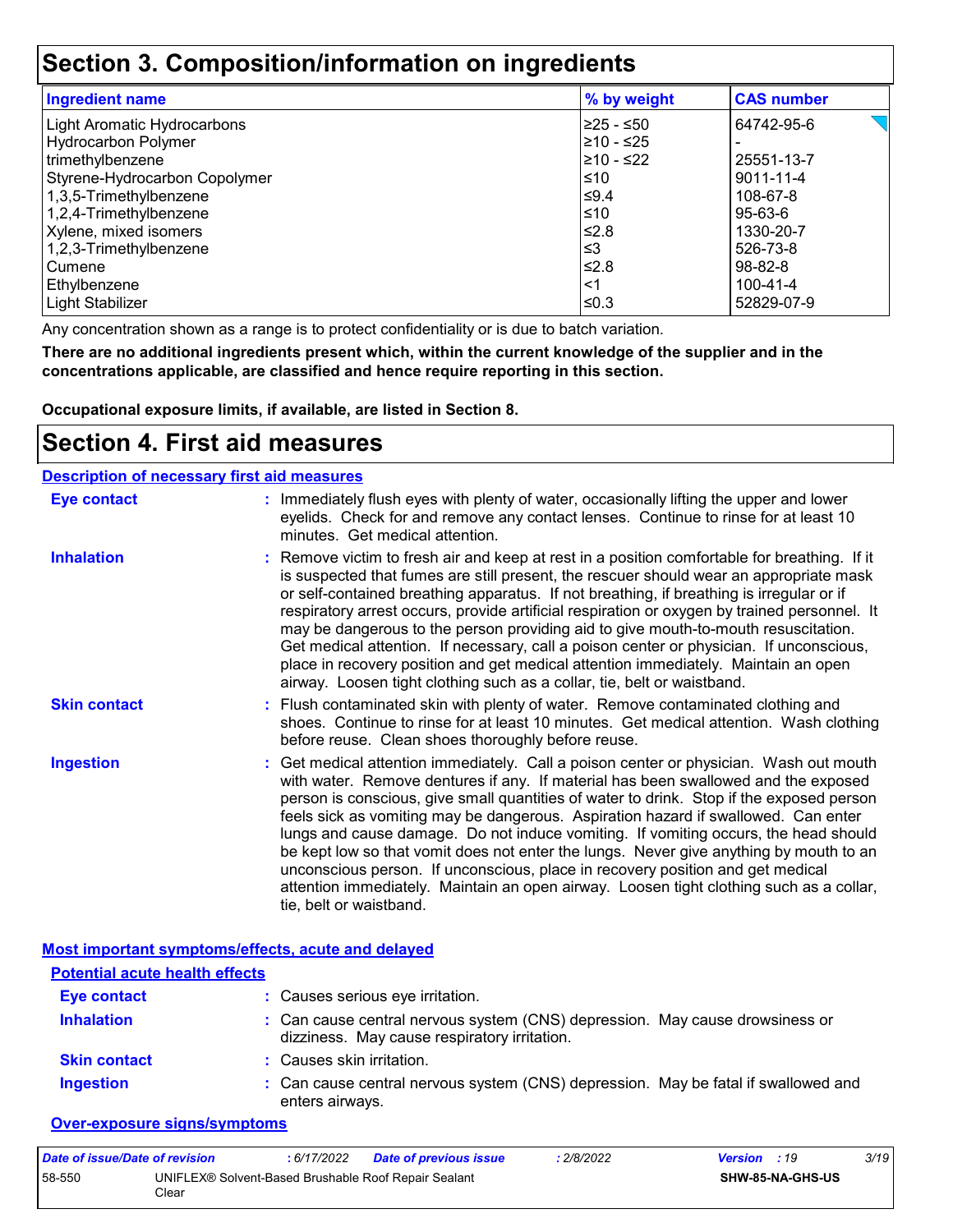### **Section 3. Composition/information on ingredients**

| <b>Ingredient name</b>             | % by weight | <b>CAS number</b> |
|------------------------------------|-------------|-------------------|
| <b>Light Aromatic Hydrocarbons</b> | 225 - ≤50   | 64742-95-6        |
| Hydrocarbon Polymer                | l≥10 - ≤25  |                   |
| trimethylbenzene                   | l≥10 - ≤22  | 25551-13-7        |
| Styrene-Hydrocarbon Copolymer      | ≤10         | 9011-11-4         |
| 1,3,5-Trimethylbenzene             | ≤9.4        | 108-67-8          |
| 1,2,4-Trimethylbenzene             | ≤10         | 95-63-6           |
| Xylene, mixed isomers              | ≤2.8        | 1330-20-7         |
| 1,2,3-Trimethylbenzene             | ≤3          | 526-73-8          |
| Cumene                             | l≤2.8       | 98-82-8           |
| Ethylbenzene                       | <1          | 100-41-4          |
| Light Stabilizer                   | l≤0.3       | 52829-07-9        |

Any concentration shown as a range is to protect confidentiality or is due to batch variation.

**There are no additional ingredients present which, within the current knowledge of the supplier and in the concentrations applicable, are classified and hence require reporting in this section.**

**Occupational exposure limits, if available, are listed in Section 8.**

### **Section 4. First aid measures**

| <b>Description of necessary first aid measures</b> |                                                                                                                                                                                                                                                                                                                                                                                                                                                                                                                                                                                                                                                                                                                                                         |
|----------------------------------------------------|---------------------------------------------------------------------------------------------------------------------------------------------------------------------------------------------------------------------------------------------------------------------------------------------------------------------------------------------------------------------------------------------------------------------------------------------------------------------------------------------------------------------------------------------------------------------------------------------------------------------------------------------------------------------------------------------------------------------------------------------------------|
| <b>Eye contact</b>                                 | : Immediately flush eyes with plenty of water, occasionally lifting the upper and lower<br>eyelids. Check for and remove any contact lenses. Continue to rinse for at least 10<br>minutes. Get medical attention.                                                                                                                                                                                                                                                                                                                                                                                                                                                                                                                                       |
| <b>Inhalation</b>                                  | : Remove victim to fresh air and keep at rest in a position comfortable for breathing. If it<br>is suspected that fumes are still present, the rescuer should wear an appropriate mask<br>or self-contained breathing apparatus. If not breathing, if breathing is irregular or if<br>respiratory arrest occurs, provide artificial respiration or oxygen by trained personnel. It<br>may be dangerous to the person providing aid to give mouth-to-mouth resuscitation.<br>Get medical attention. If necessary, call a poison center or physician. If unconscious,<br>place in recovery position and get medical attention immediately. Maintain an open<br>airway. Loosen tight clothing such as a collar, tie, belt or waistband.                    |
| <b>Skin contact</b>                                | : Flush contaminated skin with plenty of water. Remove contaminated clothing and<br>shoes. Continue to rinse for at least 10 minutes. Get medical attention. Wash clothing<br>before reuse. Clean shoes thoroughly before reuse.                                                                                                                                                                                                                                                                                                                                                                                                                                                                                                                        |
| <b>Ingestion</b>                                   | : Get medical attention immediately. Call a poison center or physician. Wash out mouth<br>with water. Remove dentures if any. If material has been swallowed and the exposed<br>person is conscious, give small quantities of water to drink. Stop if the exposed person<br>feels sick as vomiting may be dangerous. Aspiration hazard if swallowed. Can enter<br>lungs and cause damage. Do not induce vomiting. If vomiting occurs, the head should<br>be kept low so that vomit does not enter the lungs. Never give anything by mouth to an<br>unconscious person. If unconscious, place in recovery position and get medical<br>attention immediately. Maintain an open airway. Loosen tight clothing such as a collar,<br>tie, belt or waistband. |

|                                       | Most important symptoms/effects, acute and delayed                                                                           |
|---------------------------------------|------------------------------------------------------------------------------------------------------------------------------|
| <b>Potential acute health effects</b> |                                                                                                                              |
| <b>Eye contact</b>                    | : Causes serious eye irritation.                                                                                             |
| <b>Inhalation</b>                     | : Can cause central nervous system (CNS) depression. May cause drowsiness or<br>dizziness. May cause respiratory irritation. |
| <b>Skin contact</b>                   | : Causes skin irritation.                                                                                                    |
| <b>Ingestion</b>                      | : Can cause central nervous system (CNS) depression. May be fatal if swallowed and<br>enters airways.                        |

#### **Over-exposure signs/symptoms**

| Date of issue/Date of revision |                                                               | 6/17/2022 | <b>Date of previous issue</b> | : 2/8/2022 | <b>Version</b> : 19 |                         | 3/19 |
|--------------------------------|---------------------------------------------------------------|-----------|-------------------------------|------------|---------------------|-------------------------|------|
| 58-550                         | UNIFLEX® Solvent-Based Brushable Roof Repair Sealant<br>Clear |           |                               |            |                     | <b>SHW-85-NA-GHS-US</b> |      |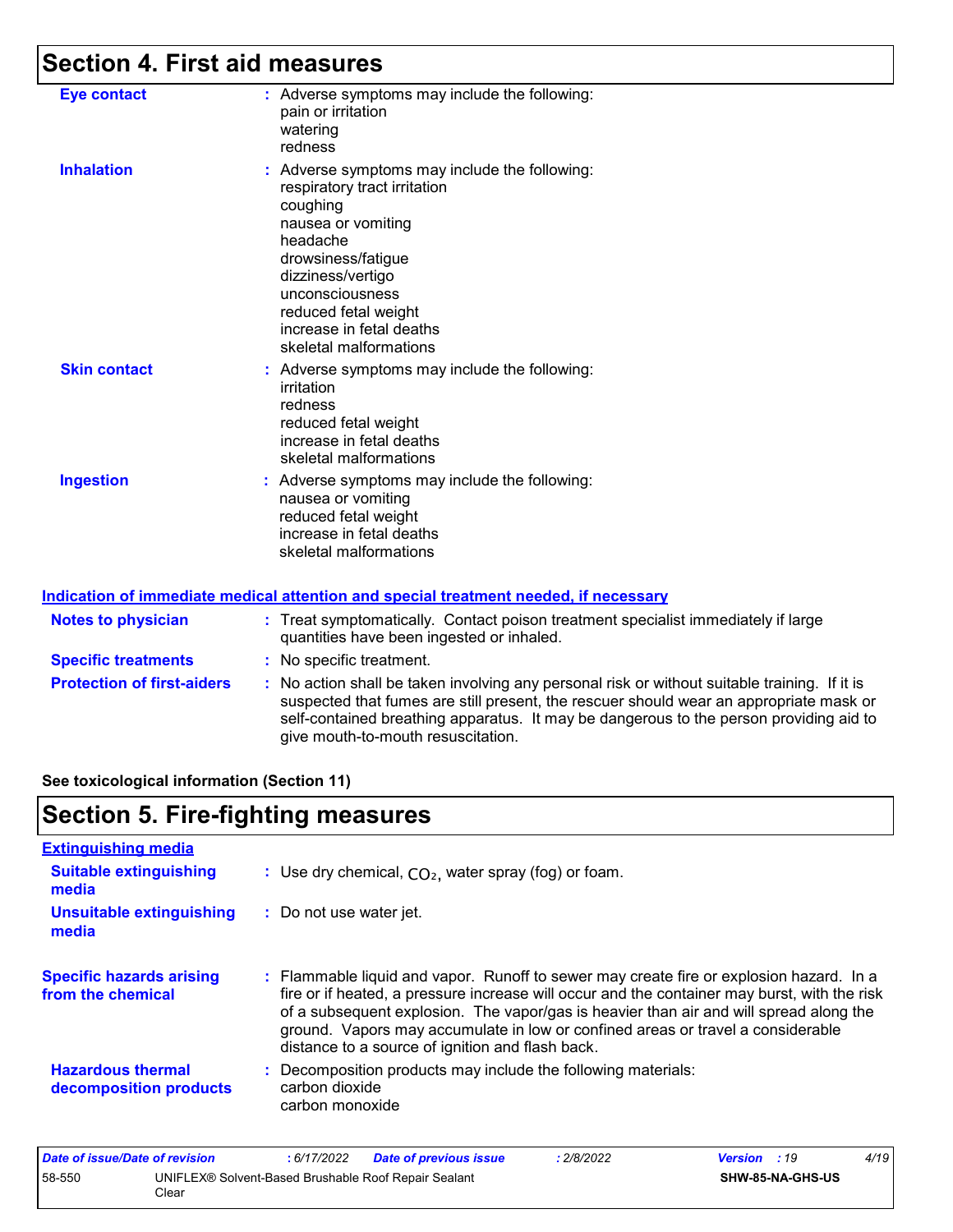# **Section 4. First aid measures**

| <b>Eye contact</b>  | : Adverse symptoms may include the following:<br>pain or irritation<br>watering<br>redness                                                                                                                                                                              |
|---------------------|-------------------------------------------------------------------------------------------------------------------------------------------------------------------------------------------------------------------------------------------------------------------------|
| <b>Inhalation</b>   | : Adverse symptoms may include the following:<br>respiratory tract irritation<br>coughing<br>nausea or vomiting<br>headache<br>drowsiness/fatigue<br>dizziness/vertigo<br>unconsciousness<br>reduced fetal weight<br>increase in fetal deaths<br>skeletal malformations |
| <b>Skin contact</b> | : Adverse symptoms may include the following:<br>irritation<br>redness<br>reduced fetal weight<br>increase in fetal deaths<br>skeletal malformations                                                                                                                    |
| <b>Ingestion</b>    | : Adverse symptoms may include the following:<br>nausea or vomiting<br>reduced fetal weight<br>increase in fetal deaths<br>skeletal malformations                                                                                                                       |

#### **Indication of immediate medical attention and special treatment needed, if necessary**

| <b>Notes to physician</b>         | : Treat symptomatically. Contact poison treatment specialist immediately if large<br>quantities have been ingested or inhaled.                                                                                                                                                                                          |
|-----------------------------------|-------------------------------------------------------------------------------------------------------------------------------------------------------------------------------------------------------------------------------------------------------------------------------------------------------------------------|
| <b>Specific treatments</b>        | : No specific treatment.                                                                                                                                                                                                                                                                                                |
| <b>Protection of first-aiders</b> | : No action shall be taken involving any personal risk or without suitable training. If it is<br>suspected that fumes are still present, the rescuer should wear an appropriate mask or<br>self-contained breathing apparatus. It may be dangerous to the person providing aid to<br>give mouth-to-mouth resuscitation. |

**See toxicological information (Section 11)**

### **Section 5. Fire-fighting measures**

| : Use dry chemical, $CO2$ , water spray (fog) or foam.                                                                                                                                                                                                                                                                                                                                                                   |
|--------------------------------------------------------------------------------------------------------------------------------------------------------------------------------------------------------------------------------------------------------------------------------------------------------------------------------------------------------------------------------------------------------------------------|
| : Do not use water jet.                                                                                                                                                                                                                                                                                                                                                                                                  |
| : Flammable liquid and vapor. Runoff to sewer may create fire or explosion hazard. In a<br>fire or if heated, a pressure increase will occur and the container may burst, with the risk<br>of a subsequent explosion. The vapor/gas is heavier than air and will spread along the<br>ground. Vapors may accumulate in low or confined areas or travel a considerable<br>distance to a source of ignition and flash back. |
| Decomposition products may include the following materials:<br>carbon dioxide<br>carbon monoxide                                                                                                                                                                                                                                                                                                                         |
|                                                                                                                                                                                                                                                                                                                                                                                                                          |

| Date of issue/Date of revision                                          |  | : 6/17/2022 | <b>Date of previous issue</b> | : 2/8/2022       | <b>Version</b> : 19 |  | 4/19 |
|-------------------------------------------------------------------------|--|-------------|-------------------------------|------------------|---------------------|--|------|
| 58-550<br>UNIFLEX® Solvent-Based Brushable Roof Repair Sealant<br>Clear |  |             |                               | SHW-85-NA-GHS-US |                     |  |      |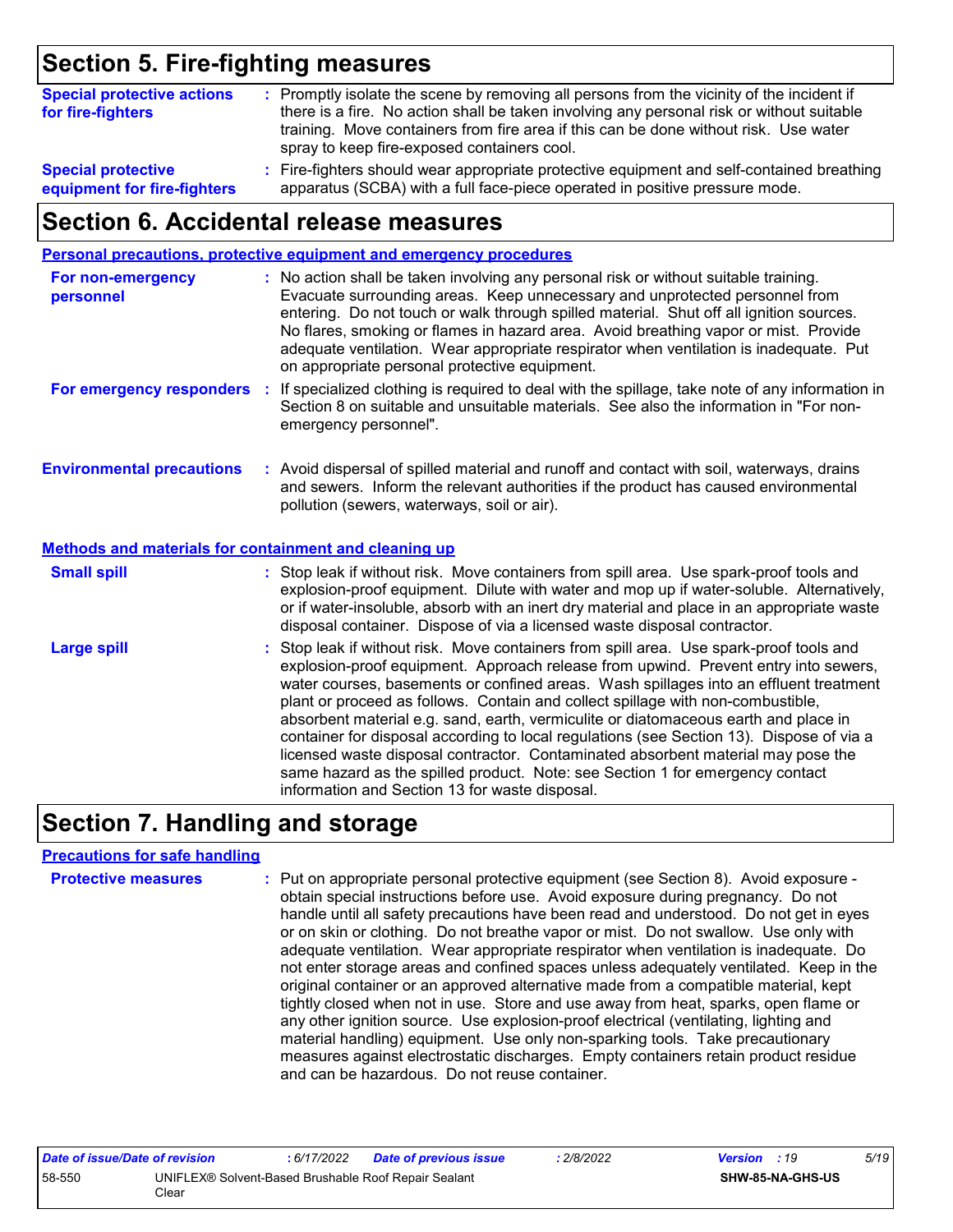### **Section 5. Fire-fighting measures**

| : Promptly isolate the scene by removing all persons from the vicinity of the incident if<br><b>Special protective actions</b><br>there is a fire. No action shall be taken involving any personal risk or without suitable<br>for fire-fighters<br>training. Move containers from fire area if this can be done without risk. Use water<br>spray to keep fire-exposed containers cool. |                                                                                           |
|-----------------------------------------------------------------------------------------------------------------------------------------------------------------------------------------------------------------------------------------------------------------------------------------------------------------------------------------------------------------------------------------|-------------------------------------------------------------------------------------------|
| <b>Special protective</b>                                                                                                                                                                                                                                                                                                                                                               | : Fire-fighters should wear appropriate protective equipment and self-contained breathing |
| equipment for fire-fighters                                                                                                                                                                                                                                                                                                                                                             | apparatus (SCBA) with a full face-piece operated in positive pressure mode.               |

### **Section 6. Accidental release measures**

|                                                              | Personal precautions, protective equipment and emergency procedures                                                                                                                                                                                                                                                                                                                                                                                                                                                                                                                                                                                                                                                                                                  |  |
|--------------------------------------------------------------|----------------------------------------------------------------------------------------------------------------------------------------------------------------------------------------------------------------------------------------------------------------------------------------------------------------------------------------------------------------------------------------------------------------------------------------------------------------------------------------------------------------------------------------------------------------------------------------------------------------------------------------------------------------------------------------------------------------------------------------------------------------------|--|
| For non-emergency<br>personnel                               | : No action shall be taken involving any personal risk or without suitable training.<br>Evacuate surrounding areas. Keep unnecessary and unprotected personnel from<br>entering. Do not touch or walk through spilled material. Shut off all ignition sources.<br>No flares, smoking or flames in hazard area. Avoid breathing vapor or mist. Provide<br>adequate ventilation. Wear appropriate respirator when ventilation is inadequate. Put<br>on appropriate personal protective equipment.                                                                                                                                                                                                                                                                      |  |
| For emergency responders :                                   | If specialized clothing is required to deal with the spillage, take note of any information in<br>Section 8 on suitable and unsuitable materials. See also the information in "For non-<br>emergency personnel".                                                                                                                                                                                                                                                                                                                                                                                                                                                                                                                                                     |  |
| <b>Environmental precautions</b>                             | : Avoid dispersal of spilled material and runoff and contact with soil, waterways, drains<br>and sewers. Inform the relevant authorities if the product has caused environmental<br>pollution (sewers, waterways, soil or air).                                                                                                                                                                                                                                                                                                                                                                                                                                                                                                                                      |  |
| <b>Methods and materials for containment and cleaning up</b> |                                                                                                                                                                                                                                                                                                                                                                                                                                                                                                                                                                                                                                                                                                                                                                      |  |
| <b>Small spill</b>                                           | : Stop leak if without risk. Move containers from spill area. Use spark-proof tools and<br>explosion-proof equipment. Dilute with water and mop up if water-soluble. Alternatively,<br>or if water-insoluble, absorb with an inert dry material and place in an appropriate waste<br>disposal container. Dispose of via a licensed waste disposal contractor.                                                                                                                                                                                                                                                                                                                                                                                                        |  |
| <b>Large spill</b>                                           | : Stop leak if without risk. Move containers from spill area. Use spark-proof tools and<br>explosion-proof equipment. Approach release from upwind. Prevent entry into sewers,<br>water courses, basements or confined areas. Wash spillages into an effluent treatment<br>plant or proceed as follows. Contain and collect spillage with non-combustible,<br>absorbent material e.g. sand, earth, vermiculite or diatomaceous earth and place in<br>container for disposal according to local regulations (see Section 13). Dispose of via a<br>licensed waste disposal contractor. Contaminated absorbent material may pose the<br>same hazard as the spilled product. Note: see Section 1 for emergency contact<br>information and Section 13 for waste disposal. |  |

## **Section 7. Handling and storage**

#### **Precautions for safe handling**

| <b>Protective measures</b> | : Put on appropriate personal protective equipment (see Section 8). Avoid exposure -<br>obtain special instructions before use. Avoid exposure during pregnancy. Do not<br>handle until all safety precautions have been read and understood. Do not get in eyes<br>or on skin or clothing. Do not breathe vapor or mist. Do not swallow. Use only with<br>adequate ventilation. Wear appropriate respirator when ventilation is inadequate. Do<br>not enter storage areas and confined spaces unless adequately ventilated. Keep in the<br>original container or an approved alternative made from a compatible material, kept<br>tightly closed when not in use. Store and use away from heat, sparks, open flame or<br>any other ignition source. Use explosion-proof electrical (ventilating, lighting and<br>material handling) equipment. Use only non-sparking tools. Take precautionary |
|----------------------------|-------------------------------------------------------------------------------------------------------------------------------------------------------------------------------------------------------------------------------------------------------------------------------------------------------------------------------------------------------------------------------------------------------------------------------------------------------------------------------------------------------------------------------------------------------------------------------------------------------------------------------------------------------------------------------------------------------------------------------------------------------------------------------------------------------------------------------------------------------------------------------------------------|
|                            | measures against electrostatic discharges. Empty containers retain product residue<br>and can be hazardous. Do not reuse container.                                                                                                                                                                                                                                                                                                                                                                                                                                                                                                                                                                                                                                                                                                                                                             |

| Date of issue/Date of revision |                                                               | : 6/17/2022 | <b>Date of previous issue</b> | 2/8/2022 | <b>Version</b> : 19 |                         | 5/19 |
|--------------------------------|---------------------------------------------------------------|-------------|-------------------------------|----------|---------------------|-------------------------|------|
| 58-550                         | UNIFLEX® Solvent-Based Brushable Roof Repair Sealant<br>Clear |             |                               |          |                     | <b>SHW-85-NA-GHS-US</b> |      |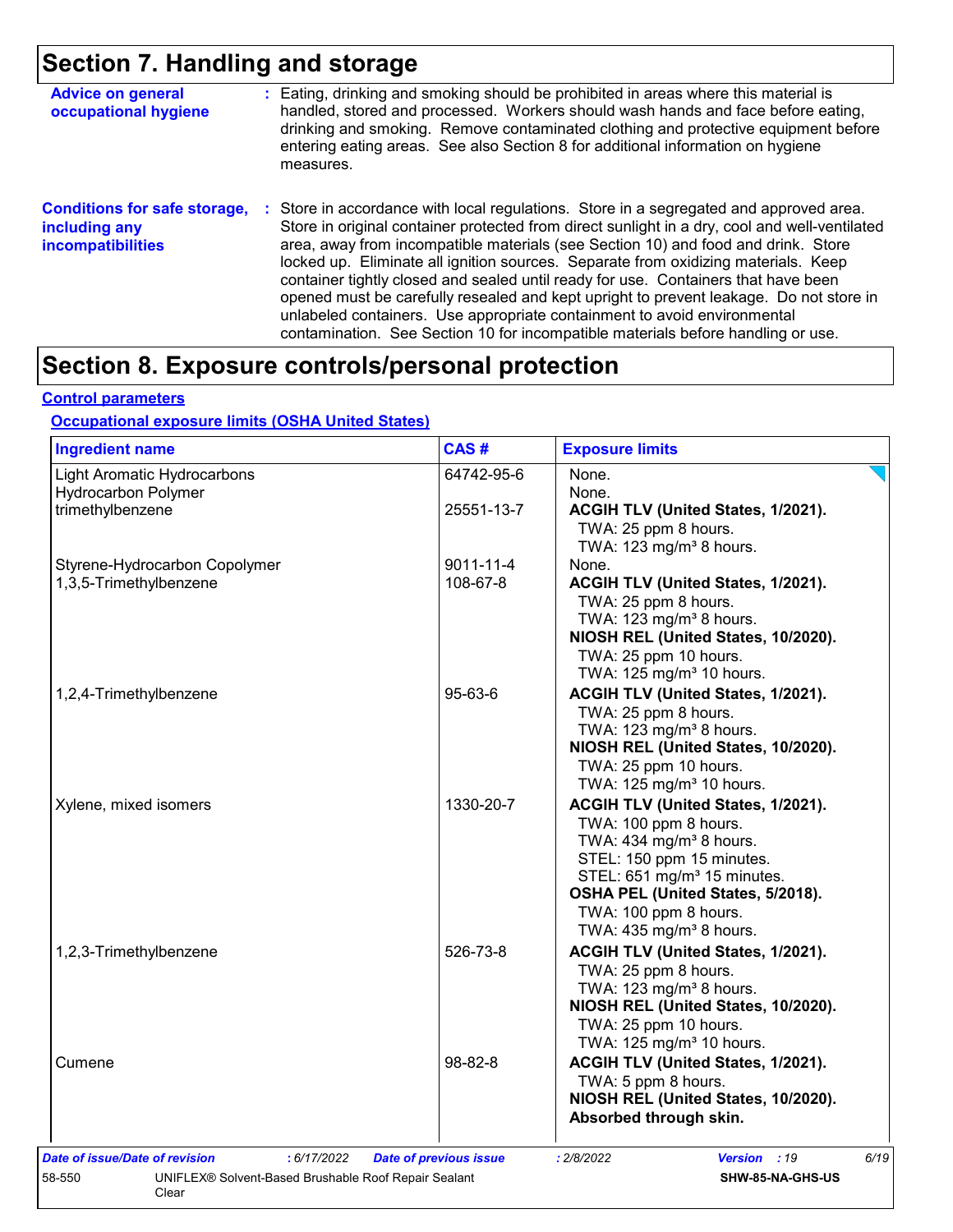### **Section 7. Handling and storage**

| <b>Advice on general</b><br>occupational hygiene                                 | : Eating, drinking and smoking should be prohibited in areas where this material is<br>handled, stored and processed. Workers should wash hands and face before eating,<br>drinking and smoking. Remove contaminated clothing and protective equipment before<br>entering eating areas. See also Section 8 for additional information on hygiene<br>measures.                                                                                                                                                                                                                                                                                                                                                      |
|----------------------------------------------------------------------------------|--------------------------------------------------------------------------------------------------------------------------------------------------------------------------------------------------------------------------------------------------------------------------------------------------------------------------------------------------------------------------------------------------------------------------------------------------------------------------------------------------------------------------------------------------------------------------------------------------------------------------------------------------------------------------------------------------------------------|
| <b>Conditions for safe storage,</b><br>including any<br><b>incompatibilities</b> | : Store in accordance with local regulations. Store in a segregated and approved area.<br>Store in original container protected from direct sunlight in a dry, cool and well-ventilated<br>area, away from incompatible materials (see Section 10) and food and drink. Store<br>locked up. Eliminate all ignition sources. Separate from oxidizing materials. Keep<br>container tightly closed and sealed until ready for use. Containers that have been<br>opened must be carefully resealed and kept upright to prevent leakage. Do not store in<br>unlabeled containers. Use appropriate containment to avoid environmental<br>contamination. See Section 10 for incompatible materials before handling or use. |

### **Section 8. Exposure controls/personal protection**

#### **Control parameters**

#### **Occupational exposure limits (OSHA United States)**

| <b>Ingredient name</b>                        | CAS#                          | <b>Exposure limits</b>                  |
|-----------------------------------------------|-------------------------------|-----------------------------------------|
| Light Aromatic Hydrocarbons                   | 64742-95-6                    | None.                                   |
| <b>Hydrocarbon Polymer</b>                    |                               | None.                                   |
| trimethylbenzene                              | 25551-13-7                    | ACGIH TLV (United States, 1/2021).      |
|                                               |                               | TWA: 25 ppm 8 hours.                    |
|                                               |                               | TWA: 123 mg/m <sup>3</sup> 8 hours.     |
| Styrene-Hydrocarbon Copolymer                 | $9011 - 11 - 4$               | None.                                   |
| 1,3,5-Trimethylbenzene                        | 108-67-8                      | ACGIH TLV (United States, 1/2021).      |
|                                               |                               | TWA: 25 ppm 8 hours.                    |
|                                               |                               | TWA: 123 mg/m <sup>3</sup> 8 hours.     |
|                                               |                               | NIOSH REL (United States, 10/2020).     |
|                                               |                               | TWA: 25 ppm 10 hours.                   |
|                                               |                               | TWA: 125 mg/m <sup>3</sup> 10 hours.    |
| 1,2,4-Trimethylbenzene                        | 95-63-6                       | ACGIH TLV (United States, 1/2021).      |
|                                               |                               | TWA: 25 ppm 8 hours.                    |
|                                               |                               | TWA: 123 mg/m <sup>3</sup> 8 hours.     |
|                                               |                               | NIOSH REL (United States, 10/2020).     |
|                                               |                               | TWA: 25 ppm 10 hours.                   |
|                                               |                               | TWA: 125 mg/m <sup>3</sup> 10 hours.    |
| Xylene, mixed isomers                         | 1330-20-7                     | ACGIH TLV (United States, 1/2021).      |
|                                               |                               | TWA: 100 ppm 8 hours.                   |
|                                               |                               | TWA: 434 mg/m <sup>3</sup> 8 hours.     |
|                                               |                               | STEL: 150 ppm 15 minutes.               |
|                                               |                               | STEL: 651 mg/m <sup>3</sup> 15 minutes. |
|                                               |                               | OSHA PEL (United States, 5/2018).       |
|                                               |                               | TWA: 100 ppm 8 hours.                   |
|                                               |                               | TWA: 435 mg/m <sup>3</sup> 8 hours.     |
| 1,2,3-Trimethylbenzene                        | 526-73-8                      | ACGIH TLV (United States, 1/2021).      |
|                                               |                               | TWA: 25 ppm 8 hours.                    |
|                                               |                               | TWA: $123$ mg/m <sup>3</sup> 8 hours.   |
|                                               |                               | NIOSH REL (United States, 10/2020).     |
|                                               |                               | TWA: 25 ppm 10 hours.                   |
|                                               |                               | TWA: 125 mg/m <sup>3</sup> 10 hours.    |
| Cumene                                        | 98-82-8                       | ACGIH TLV (United States, 1/2021).      |
|                                               |                               | TWA: 5 ppm 8 hours.                     |
|                                               |                               | NIOSH REL (United States, 10/2020).     |
|                                               |                               | Absorbed through skin.                  |
| Date of issue/Date of revision<br>: 6/17/2022 | <b>Date of previous issue</b> | 6/19<br>: 2/8/2022<br>Version : 19      |
|                                               |                               |                                         |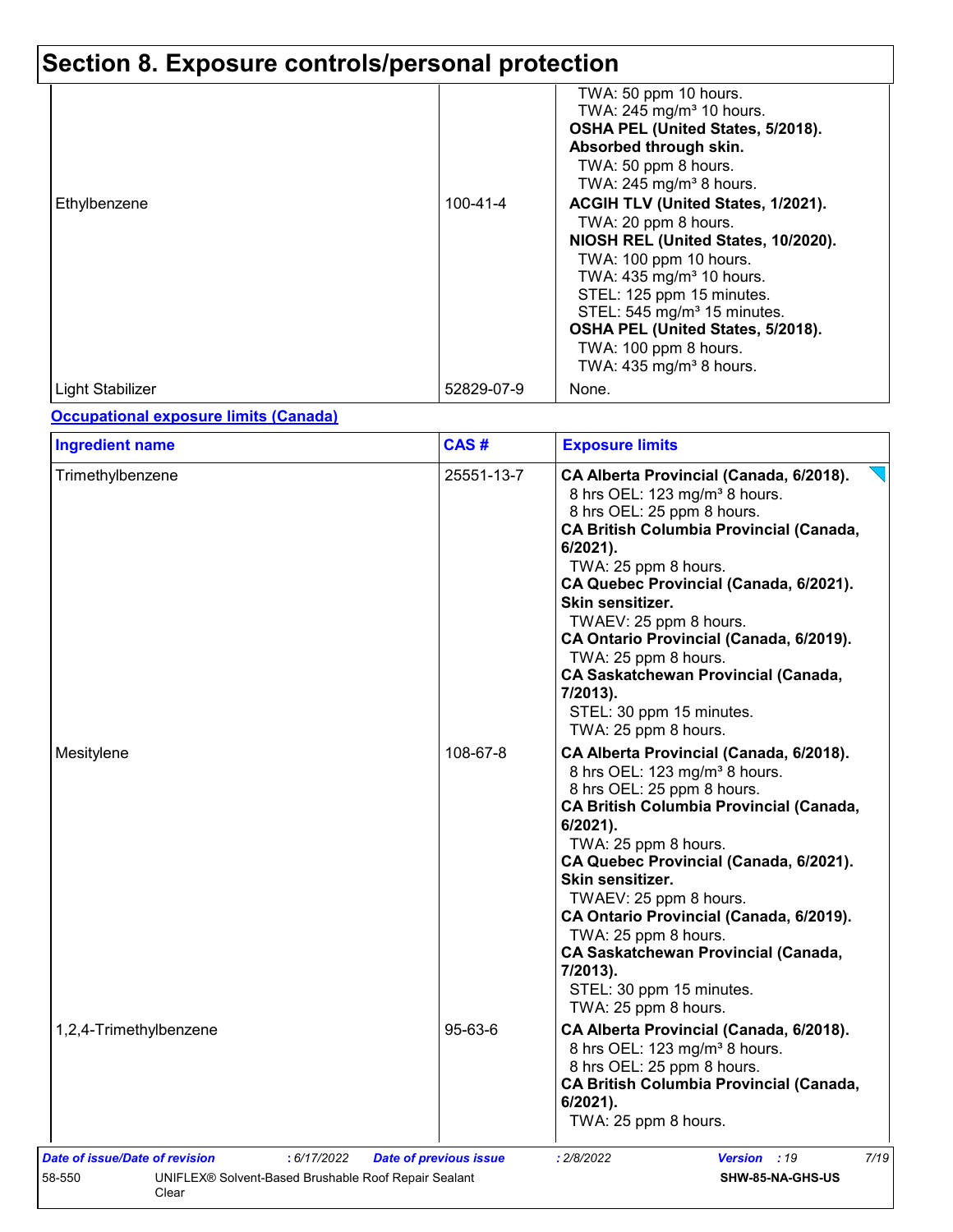# **Section 8. Exposure controls/personal protection**

|                  |            | TWA: 50 ppm 10 hours.<br>TWA: 245 mg/m <sup>3</sup> 10 hours.<br>OSHA PEL (United States, 5/2018).<br>Absorbed through skin.<br>TWA: 50 ppm 8 hours.<br>TWA: $245$ mg/m <sup>3</sup> 8 hours.                                                                                                                                                   |
|------------------|------------|-------------------------------------------------------------------------------------------------------------------------------------------------------------------------------------------------------------------------------------------------------------------------------------------------------------------------------------------------|
| Ethylbenzene     | 100-41-4   | ACGIH TLV (United States, 1/2021).<br>TWA: 20 ppm 8 hours.<br>NIOSH REL (United States, 10/2020).<br>TWA: 100 ppm 10 hours.<br>TWA: 435 mg/m <sup>3</sup> 10 hours.<br>STEL: 125 ppm 15 minutes.<br>STEL: 545 mg/m <sup>3</sup> 15 minutes.<br>OSHA PEL (United States, 5/2018).<br>TWA: 100 ppm 8 hours.<br>TWA: $435 \text{ mg/m}^3$ 8 hours. |
| Light Stabilizer | 52829-07-9 | None.                                                                                                                                                                                                                                                                                                                                           |

### **Occupational exposure limits (Canada)**

| <b>Ingredient name</b> | CAS#       | <b>Exposure limits</b>                                                                                                                                                                                                                                                                                                                                                                                                                                                            |
|------------------------|------------|-----------------------------------------------------------------------------------------------------------------------------------------------------------------------------------------------------------------------------------------------------------------------------------------------------------------------------------------------------------------------------------------------------------------------------------------------------------------------------------|
| Trimethylbenzene       | 25551-13-7 | CA Alberta Provincial (Canada, 6/2018).<br>8 hrs OEL: 123 mg/m <sup>3</sup> 8 hours.<br>8 hrs OEL: 25 ppm 8 hours.<br><b>CA British Columbia Provincial (Canada,</b><br>$6/2021$ ).<br>TWA: 25 ppm 8 hours.<br>CA Quebec Provincial (Canada, 6/2021).<br>Skin sensitizer.<br>TWAEV: 25 ppm 8 hours.<br>CA Ontario Provincial (Canada, 6/2019).<br>TWA: 25 ppm 8 hours.<br>CA Saskatchewan Provincial (Canada,<br>7/2013).<br>STEL: 30 ppm 15 minutes.<br>TWA: 25 ppm 8 hours.     |
| Mesitylene             | 108-67-8   | CA Alberta Provincial (Canada, 6/2018).<br>8 hrs OEL: 123 mg/m <sup>3</sup> 8 hours.<br>8 hrs OEL: 25 ppm 8 hours.<br><b>CA British Columbia Provincial (Canada,</b><br>6/2021).<br>TWA: 25 ppm 8 hours.<br>CA Quebec Provincial (Canada, 6/2021).<br>Skin sensitizer.<br>TWAEV: 25 ppm 8 hours.<br>CA Ontario Provincial (Canada, 6/2019).<br>TWA: 25 ppm 8 hours.<br><b>CA Saskatchewan Provincial (Canada,</b><br>7/2013).<br>STEL: 30 ppm 15 minutes.<br>TWA: 25 ppm 8 hours. |
| 1,2,4-Trimethylbenzene | 95-63-6    | CA Alberta Provincial (Canada, 6/2018).<br>8 hrs OEL: 123 mg/m <sup>3</sup> 8 hours.<br>8 hrs OEL: 25 ppm 8 hours.<br><b>CA British Columbia Provincial (Canada,</b><br>$6/2021$ ).<br>TWA: 25 ppm 8 hours.                                                                                                                                                                                                                                                                       |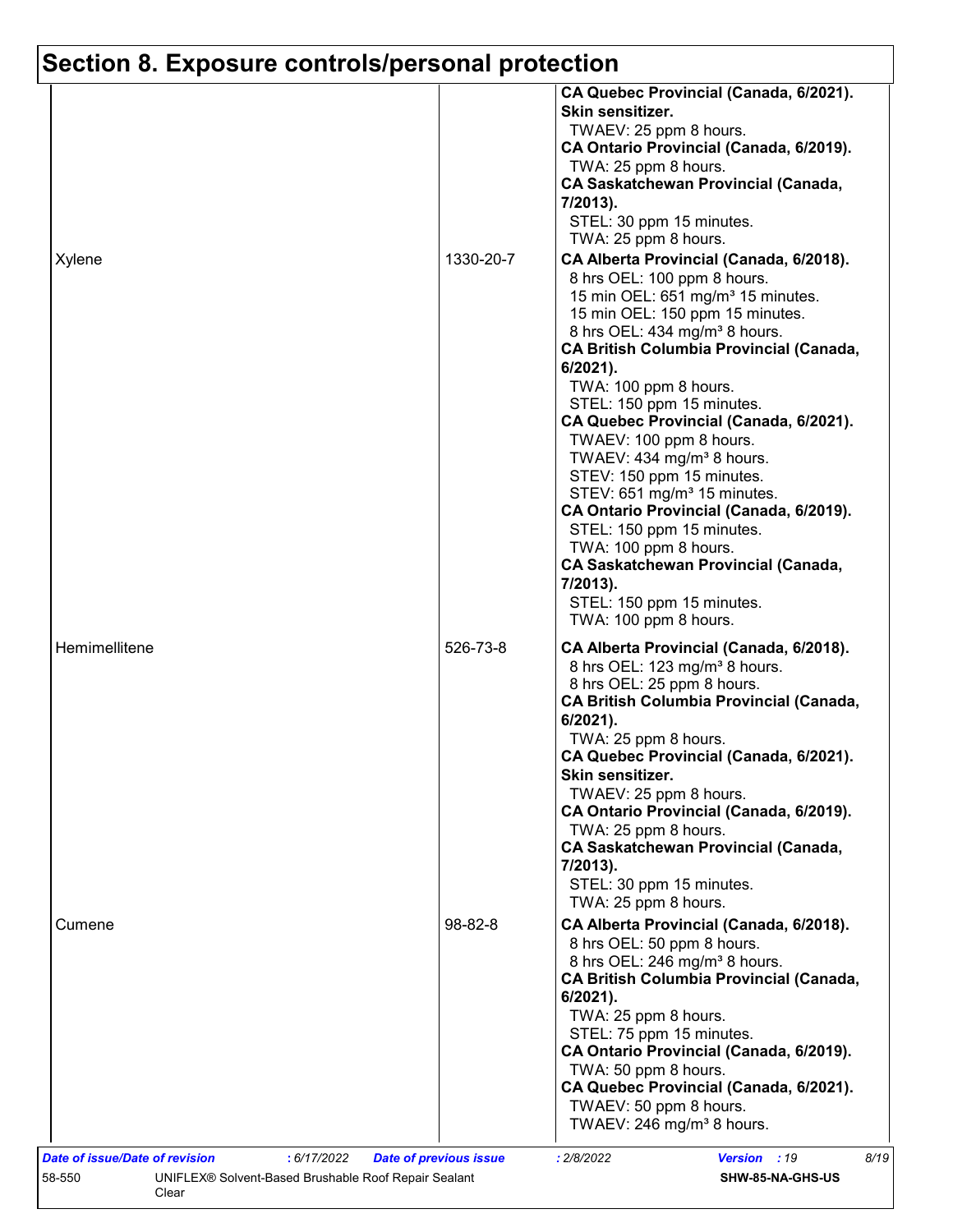# **Section 8. Exposure controls/personal protection**

|               |               | Skin sensitizer.<br>TWAEV: 25 ppm 8 hours.<br>CA Ontario Provincial (Canada, 6/2019).<br>TWA: 25 ppm 8 hours.<br><b>CA Saskatchewan Provincial (Canada,</b><br>7/2013).                                                                                                                                                                                                                                                                                                                                                                                                                                                                                             |
|---------------|---------------|---------------------------------------------------------------------------------------------------------------------------------------------------------------------------------------------------------------------------------------------------------------------------------------------------------------------------------------------------------------------------------------------------------------------------------------------------------------------------------------------------------------------------------------------------------------------------------------------------------------------------------------------------------------------|
|               |               | STEL: 30 ppm 15 minutes.                                                                                                                                                                                                                                                                                                                                                                                                                                                                                                                                                                                                                                            |
|               |               | TWA: 25 ppm 8 hours.                                                                                                                                                                                                                                                                                                                                                                                                                                                                                                                                                                                                                                                |
| Xylene        | 1330-20-7     | CA Alberta Provincial (Canada, 6/2018).<br>8 hrs OEL: 100 ppm 8 hours.<br>15 min OEL: 651 mg/m <sup>3</sup> 15 minutes.<br>15 min OEL: 150 ppm 15 minutes.<br>8 hrs OEL: 434 mg/m <sup>3</sup> 8 hours.<br><b>CA British Columbia Provincial (Canada,</b><br>$6/2021$ ).<br>TWA: 100 ppm 8 hours.<br>STEL: 150 ppm 15 minutes.<br>CA Quebec Provincial (Canada, 6/2021).<br>TWAEV: 100 ppm 8 hours.<br>TWAEV: 434 mg/m <sup>3</sup> 8 hours.<br>STEV: 150 ppm 15 minutes.<br>STEV: 651 mg/m <sup>3</sup> 15 minutes.<br>CA Ontario Provincial (Canada, 6/2019).<br>STEL: 150 ppm 15 minutes.<br>TWA: 100 ppm 8 hours.<br><b>CA Saskatchewan Provincial (Canada,</b> |
|               |               | 7/2013).<br>STEL: 150 ppm 15 minutes.<br>TWA: 100 ppm 8 hours.                                                                                                                                                                                                                                                                                                                                                                                                                                                                                                                                                                                                      |
| Hemimellitene | 526-73-8      | CA Alberta Provincial (Canada, 6/2018).<br>8 hrs OEL: 123 mg/m <sup>3</sup> 8 hours.<br>8 hrs OEL: 25 ppm 8 hours.<br><b>CA British Columbia Provincial (Canada,</b><br>$6/2021$ ).<br>TWA: 25 ppm 8 hours.<br>CA Quebec Provincial (Canada, 6/2021).<br>Skin sensitizer.<br>TWAEV: 25 ppm 8 hours.<br>CA Ontario Provincial (Canada, 6/2019).<br>TWA: 25 ppm 8 hours.<br><b>CA Saskatchewan Provincial (Canada,</b><br>7/2013).<br>STEL: 30 ppm 15 minutes.<br>TWA: 25 ppm 8 hours.                                                                                                                                                                                |
| Cumene        | $98 - 82 - 8$ | CA Alberta Provincial (Canada, 6/2018).<br>8 hrs OEL: 50 ppm 8 hours.<br>8 hrs OEL: 246 mg/m <sup>3</sup> 8 hours.<br><b>CA British Columbia Provincial (Canada,</b><br>$6/2021$ ).<br>TWA: 25 ppm 8 hours.<br>STEL: 75 ppm 15 minutes.<br>CA Ontario Provincial (Canada, 6/2019).<br>TWA: 50 ppm 8 hours.<br>CA Quebec Provincial (Canada, 6/2021).<br>TWAEV: 50 ppm 8 hours.<br>TWAEV: 246 mg/m <sup>3</sup> 8 hours.                                                                                                                                                                                                                                             |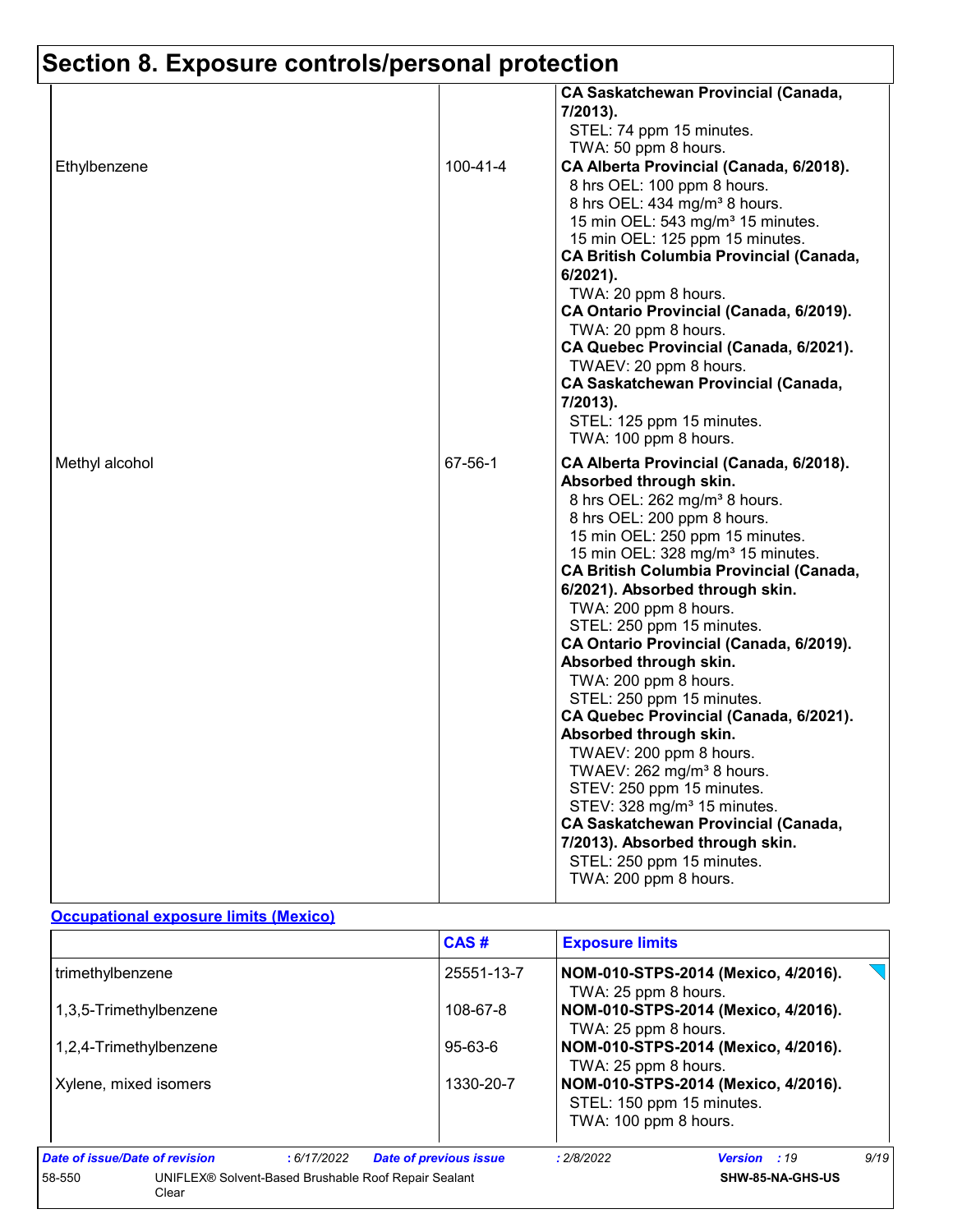# **Section 8. Exposure controls/personal protection**

|                |                | <b>CA Saskatchewan Provincial (Canada,</b><br>$7/2013$ ).<br>STEL: 74 ppm 15 minutes.<br>TWA: 50 ppm 8 hours.                                                                                                                                                                                                                                                                                                                                                                                                                                                                                                                                                                                                                                                                                                                                                  |
|----------------|----------------|----------------------------------------------------------------------------------------------------------------------------------------------------------------------------------------------------------------------------------------------------------------------------------------------------------------------------------------------------------------------------------------------------------------------------------------------------------------------------------------------------------------------------------------------------------------------------------------------------------------------------------------------------------------------------------------------------------------------------------------------------------------------------------------------------------------------------------------------------------------|
| Ethylbenzene   | $100 - 41 - 4$ | CA Alberta Provincial (Canada, 6/2018).<br>8 hrs OEL: 100 ppm 8 hours.<br>8 hrs OEL: 434 mg/m <sup>3</sup> 8 hours.<br>15 min OEL: 543 mg/m <sup>3</sup> 15 minutes.<br>15 min OEL: 125 ppm 15 minutes.<br><b>CA British Columbia Provincial (Canada,</b><br>6/2021).<br>TWA: 20 ppm 8 hours.<br>CA Ontario Provincial (Canada, 6/2019).<br>TWA: 20 ppm 8 hours.<br>CA Quebec Provincial (Canada, 6/2021).<br>TWAEV: 20 ppm 8 hours.<br><b>CA Saskatchewan Provincial (Canada,</b><br>7/2013).<br>STEL: 125 ppm 15 minutes.<br>TWA: 100 ppm 8 hours.                                                                                                                                                                                                                                                                                                           |
| Methyl alcohol | 67-56-1        | CA Alberta Provincial (Canada, 6/2018).<br>Absorbed through skin.<br>8 hrs OEL: 262 mg/m <sup>3</sup> 8 hours.<br>8 hrs OEL: 200 ppm 8 hours.<br>15 min OEL: 250 ppm 15 minutes.<br>15 min OEL: 328 mg/m <sup>3</sup> 15 minutes.<br><b>CA British Columbia Provincial (Canada,</b><br>6/2021). Absorbed through skin.<br>TWA: 200 ppm 8 hours.<br>STEL: 250 ppm 15 minutes.<br>CA Ontario Provincial (Canada, 6/2019).<br>Absorbed through skin.<br>TWA: 200 ppm 8 hours.<br>STEL: 250 ppm 15 minutes.<br>CA Quebec Provincial (Canada, 6/2021).<br>Absorbed through skin.<br>TWAEV: 200 ppm 8 hours.<br>TWAEV: 262 mg/m <sup>3</sup> 8 hours.<br>STEV: 250 ppm 15 minutes.<br>STEV: 328 mg/m <sup>3</sup> 15 minutes.<br><b>CA Saskatchewan Provincial (Canada,</b><br>7/2013). Absorbed through skin.<br>STEL: 250 ppm 15 minutes.<br>TWA: 200 ppm 8 hours. |

#### **Occupational exposure limits (Mexico)**

|                                |                                                      | CAS#                          | <b>Exposure limits</b>                                      |                                                                  |      |  |
|--------------------------------|------------------------------------------------------|-------------------------------|-------------------------------------------------------------|------------------------------------------------------------------|------|--|
| trimethylbenzene               |                                                      | 25551-13-7                    | NOM-010-STPS-2014 (Mexico, 4/2016).<br>TWA: 25 ppm 8 hours. |                                                                  |      |  |
| 1,3,5-Trimethylbenzene         |                                                      | 108-67-8                      | NOM-010-STPS-2014 (Mexico, 4/2016).<br>TWA: 25 ppm 8 hours. |                                                                  |      |  |
| 1,2,4-Trimethylbenzene         |                                                      | $95 - 63 - 6$                 | NOM-010-STPS-2014 (Mexico, 4/2016).<br>TWA: 25 ppm 8 hours. |                                                                  |      |  |
| Xylene, mixed isomers          |                                                      | 1330-20-7                     | TWA: 100 ppm 8 hours.                                       | NOM-010-STPS-2014 (Mexico, 4/2016).<br>STEL: 150 ppm 15 minutes. |      |  |
| Date of issue/Date of revision | :6/17/2022                                           | <b>Date of previous issue</b> | : 2/8/2022                                                  | Version : 19                                                     | 9/19 |  |
| 58-550<br>Clear                | UNIFLEX® Solvent-Based Brushable Roof Repair Sealant |                               |                                                             | SHW-85-NA-GHS-US                                                 |      |  |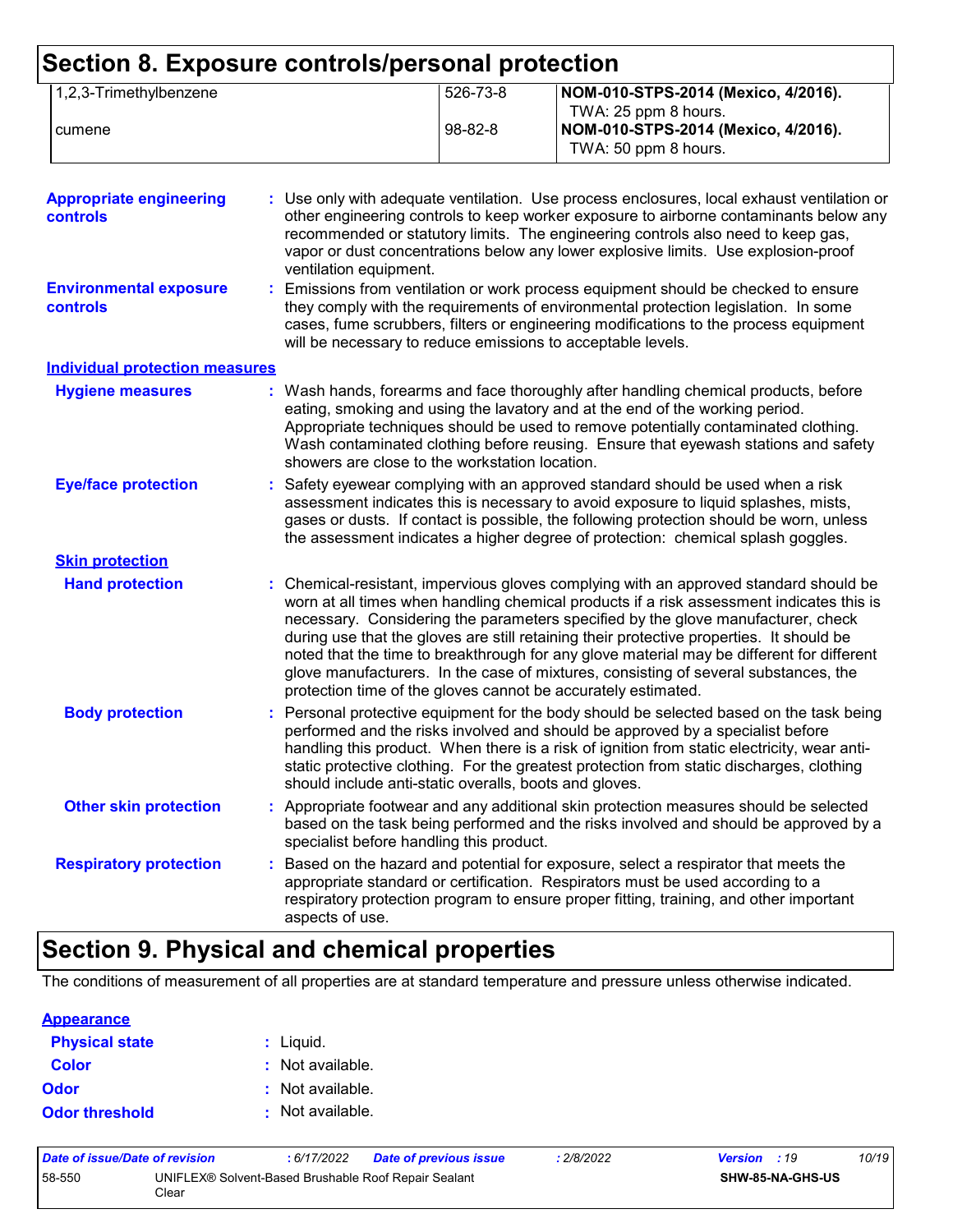#### **Section 8. Exposure controls/personal protection** 1,2,3-Trimethylbenzene 526-73-8 **NOM-010-STPS-2014 (Mexico, 4/2016).** TWA: 25 ppm 8 hours. cumene 98-82-8 **NOM-010-STPS-2014 (Mexico, 4/2016).** TWA: 50 ppm 8 hours.

| <b>Appropriate engineering</b><br><b>controls</b> | : Use only with adequate ventilation. Use process enclosures, local exhaust ventilation or<br>other engineering controls to keep worker exposure to airborne contaminants below any<br>recommended or statutory limits. The engineering controls also need to keep gas,<br>vapor or dust concentrations below any lower explosive limits. Use explosion-proof<br>ventilation equipment.                                                                                                                                                                                                                                |
|---------------------------------------------------|------------------------------------------------------------------------------------------------------------------------------------------------------------------------------------------------------------------------------------------------------------------------------------------------------------------------------------------------------------------------------------------------------------------------------------------------------------------------------------------------------------------------------------------------------------------------------------------------------------------------|
| <b>Environmental exposure</b><br><b>controls</b>  | : Emissions from ventilation or work process equipment should be checked to ensure<br>they comply with the requirements of environmental protection legislation. In some<br>cases, fume scrubbers, filters or engineering modifications to the process equipment<br>will be necessary to reduce emissions to acceptable levels.                                                                                                                                                                                                                                                                                        |
| <b>Individual protection measures</b>             |                                                                                                                                                                                                                                                                                                                                                                                                                                                                                                                                                                                                                        |
| <b>Hygiene measures</b>                           | : Wash hands, forearms and face thoroughly after handling chemical products, before<br>eating, smoking and using the lavatory and at the end of the working period.<br>Appropriate techniques should be used to remove potentially contaminated clothing.<br>Wash contaminated clothing before reusing. Ensure that eyewash stations and safety<br>showers are close to the workstation location.                                                                                                                                                                                                                      |
| <b>Eye/face protection</b>                        | : Safety eyewear complying with an approved standard should be used when a risk<br>assessment indicates this is necessary to avoid exposure to liquid splashes, mists,<br>gases or dusts. If contact is possible, the following protection should be worn, unless<br>the assessment indicates a higher degree of protection: chemical splash goggles.                                                                                                                                                                                                                                                                  |
| <b>Skin protection</b>                            |                                                                                                                                                                                                                                                                                                                                                                                                                                                                                                                                                                                                                        |
| <b>Hand protection</b>                            | : Chemical-resistant, impervious gloves complying with an approved standard should be<br>worn at all times when handling chemical products if a risk assessment indicates this is<br>necessary. Considering the parameters specified by the glove manufacturer, check<br>during use that the gloves are still retaining their protective properties. It should be<br>noted that the time to breakthrough for any glove material may be different for different<br>glove manufacturers. In the case of mixtures, consisting of several substances, the<br>protection time of the gloves cannot be accurately estimated. |
| <b>Body protection</b>                            | : Personal protective equipment for the body should be selected based on the task being<br>performed and the risks involved and should be approved by a specialist before<br>handling this product. When there is a risk of ignition from static electricity, wear anti-<br>static protective clothing. For the greatest protection from static discharges, clothing<br>should include anti-static overalls, boots and gloves.                                                                                                                                                                                         |
| <b>Other skin protection</b>                      | : Appropriate footwear and any additional skin protection measures should be selected<br>based on the task being performed and the risks involved and should be approved by a<br>specialist before handling this product.                                                                                                                                                                                                                                                                                                                                                                                              |
| <b>Respiratory protection</b>                     | : Based on the hazard and potential for exposure, select a respirator that meets the<br>appropriate standard or certification. Respirators must be used according to a<br>respiratory protection program to ensure proper fitting, training, and other important<br>aspects of use.                                                                                                                                                                                                                                                                                                                                    |

### **Section 9. Physical and chemical properties**

The conditions of measurement of all properties are at standard temperature and pressure unless otherwise indicated.

| <b>Appearance</b>     |                  |
|-----------------------|------------------|
| <b>Physical state</b> | : Liquid.        |
| <b>Color</b>          | : Not available. |
| <b>Odor</b>           | : Not available. |
| <b>Odor threshold</b> | : Not available. |

| Date of issue/Date of revision                                          |  | : 6/17/2022 | <b>Date of previous issue</b> | : 2/8/2022 | <b>Version</b> : 19 |                         | 10/19 |
|-------------------------------------------------------------------------|--|-------------|-------------------------------|------------|---------------------|-------------------------|-------|
| 58-550<br>UNIFLEX® Solvent-Based Brushable Roof Repair Sealant<br>Clear |  |             |                               |            |                     | <b>SHW-85-NA-GHS-US</b> |       |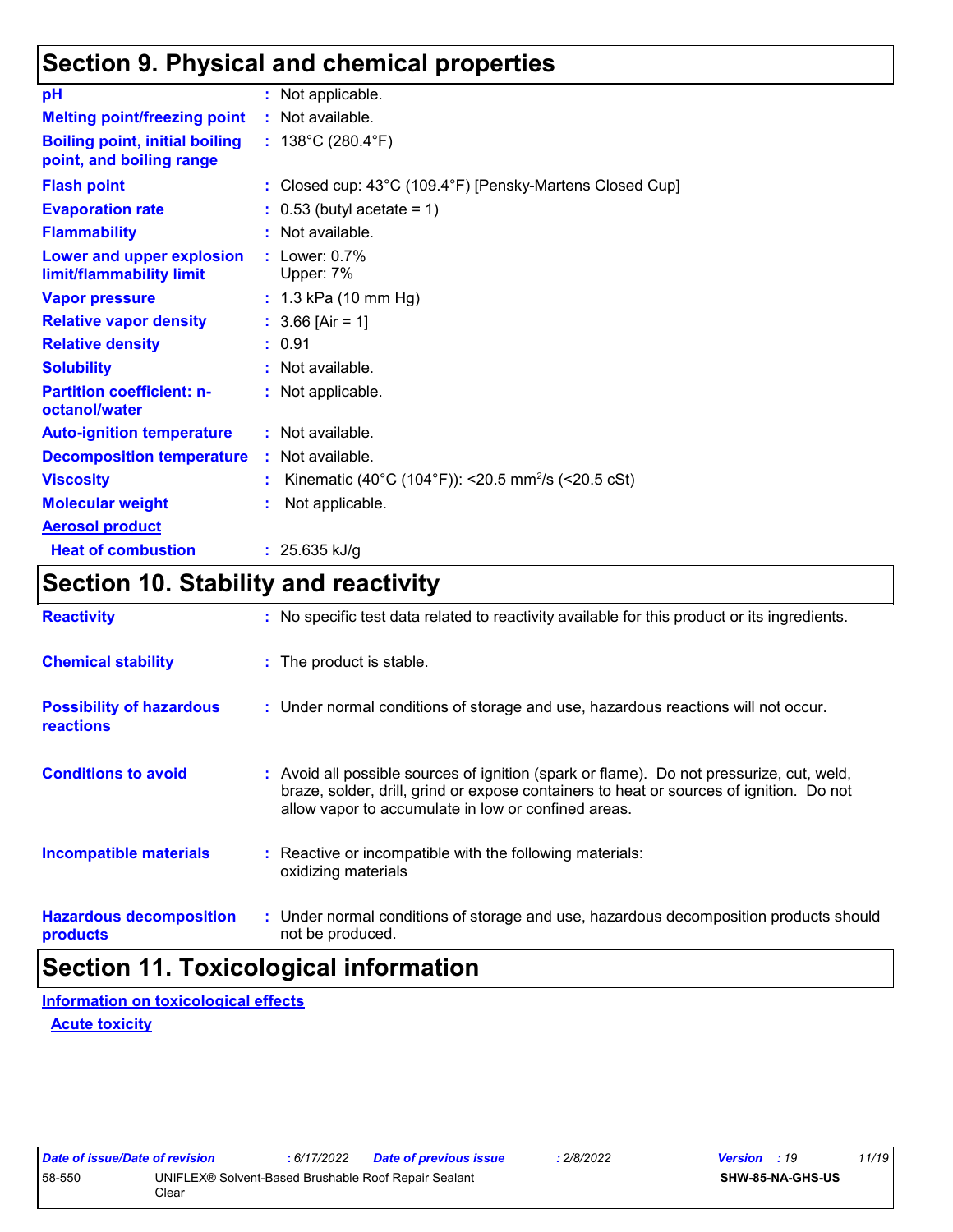### **Section 9. Physical and chemical properties**

| pH                                                                | : Not applicable.                                              |
|-------------------------------------------------------------------|----------------------------------------------------------------|
| <b>Melting point/freezing point</b>                               | : Not available.                                               |
| <b>Boiling point, initial boiling</b><br>point, and boiling range | : $138^{\circ}$ C (280.4 $^{\circ}$ F)                         |
| <b>Flash point</b>                                                | : Closed cup: 43°C (109.4°F) [Pensky-Martens Closed Cup]       |
| <b>Evaporation rate</b>                                           | $: 0.53$ (butyl acetate = 1)                                   |
| <b>Flammability</b>                                               | $:$ Not available.                                             |
| Lower and upper explosion<br>limit/flammability limit             | $:$ Lower: $0.7\%$<br>Upper: 7%                                |
| <b>Vapor pressure</b>                                             | : $1.3$ kPa (10 mm Hg)                                         |
| <b>Relative vapor density</b>                                     | : $3.66$ [Air = 1]                                             |
| <b>Relative density</b>                                           | : 0.91                                                         |
| <b>Solubility</b>                                                 | : Not available.                                               |
| <b>Partition coefficient: n-</b><br>octanol/water                 | : Not applicable.                                              |
| <b>Auto-ignition temperature</b>                                  | : Not available.                                               |
| <b>Decomposition temperature</b>                                  | : Not available.                                               |
| <b>Viscosity</b>                                                  | Kinematic (40°C (104°F)): <20.5 mm <sup>2</sup> /s (<20.5 cSt) |
| <b>Molecular weight</b>                                           | Not applicable.                                                |
| <b>Aerosol product</b>                                            |                                                                |
| <b>Heat of combustion</b>                                         | : $25.635$ kJ/g                                                |

### **Section 10. Stability and reactivity**

| <b>Reactivity</b>                            | : No specific test data related to reactivity available for this product or its ingredients.                                                                                                                                               |
|----------------------------------------------|--------------------------------------------------------------------------------------------------------------------------------------------------------------------------------------------------------------------------------------------|
| <b>Chemical stability</b>                    | : The product is stable.                                                                                                                                                                                                                   |
| <b>Possibility of hazardous</b><br>reactions | : Under normal conditions of storage and use, hazardous reactions will not occur.                                                                                                                                                          |
| <b>Conditions to avoid</b>                   | : Avoid all possible sources of ignition (spark or flame). Do not pressurize, cut, weld,<br>braze, solder, drill, grind or expose containers to heat or sources of ignition. Do not<br>allow vapor to accumulate in low or confined areas. |
| <b>Incompatible materials</b>                | : Reactive or incompatible with the following materials:<br>oxidizing materials                                                                                                                                                            |
| <b>Hazardous decomposition</b><br>products   | : Under normal conditions of storage and use, hazardous decomposition products should<br>not be produced.                                                                                                                                  |

### **Section 11. Toxicological information**

**Acute toxicity Information on toxicological effects**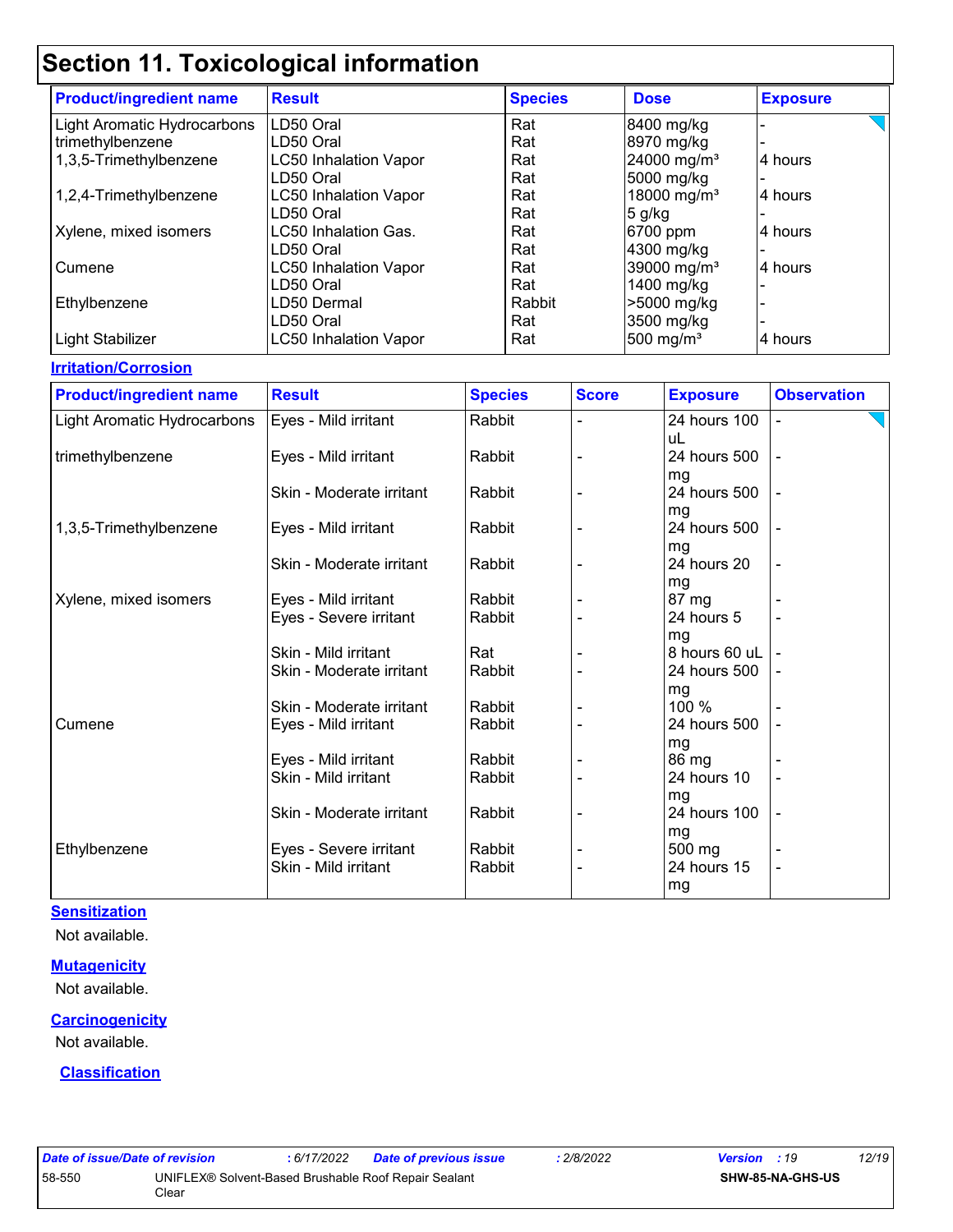| <b>Product/ingredient name</b> | <b>Result</b>                | <b>Species</b> | <b>Dose</b>             | <b>Exposure</b> |
|--------------------------------|------------------------------|----------------|-------------------------|-----------------|
| Light Aromatic Hydrocarbons    | LD50 Oral                    | Rat            | 8400 mg/kg              |                 |
| trimethylbenzene               | LD50 Oral                    | Rat            | 8970 mg/kg              |                 |
| 1,3,5-Trimethylbenzene         | <b>LC50 Inhalation Vapor</b> | Rat            | 24000 mg/m <sup>3</sup> | 4 hours         |
|                                | LD50 Oral                    | Rat            | 5000 mg/kg              |                 |
| 1,2,4-Trimethylbenzene         | <b>LC50 Inhalation Vapor</b> | Rat            | 18000 mg/m <sup>3</sup> | 4 hours         |
|                                | LD50 Oral                    | Rat            | $5$ g/kg                |                 |
| Xylene, mixed isomers          | LC50 Inhalation Gas.         | Rat            | 6700 ppm                | 4 hours         |
|                                | LD50 Oral                    | Rat            | 4300 mg/kg              |                 |
| Cumene                         | <b>LC50 Inhalation Vapor</b> | Rat            | 39000 mg/m <sup>3</sup> | 4 hours         |
|                                | LD50 Oral                    | Rat            | 1400 mg/kg              |                 |
| Ethylbenzene                   | LD50 Dermal                  | Rabbit         | >5000 mg/kg             |                 |
|                                | LD50 Oral                    | Rat            | 3500 mg/kg              |                 |
| Light Stabilizer               | <b>LC50 Inhalation Vapor</b> | Rat            | 500 mg/ $m3$            | 4 hours         |

#### **Irritation/Corrosion**

| <b>Product/ingredient name</b> | <b>Result</b>                                  | <b>Species</b>   | <b>Score</b> | <b>Exposure</b>       | <b>Observation</b> |
|--------------------------------|------------------------------------------------|------------------|--------------|-----------------------|--------------------|
| Light Aromatic Hydrocarbons    | Eyes - Mild irritant                           | Rabbit           |              | 24 hours 100          |                    |
|                                |                                                |                  |              | uL                    |                    |
| trimethylbenzene               | Eyes - Mild irritant                           | Rabbit           |              | 24 hours 500          |                    |
|                                |                                                |                  |              | mg                    |                    |
|                                | Skin - Moderate irritant                       | Rabbit           |              | 24 hours 500          |                    |
|                                |                                                |                  |              | mg<br>24 hours 500    |                    |
| 1,3,5-Trimethylbenzene         | Eyes - Mild irritant                           | Rabbit           |              |                       |                    |
|                                | Skin - Moderate irritant                       | Rabbit           |              | mg<br>24 hours 20     |                    |
|                                |                                                |                  |              | mg                    |                    |
| Xylene, mixed isomers          | Eyes - Mild irritant                           | Rabbit           |              | 87 mg                 |                    |
|                                | Eyes - Severe irritant                         | Rabbit           |              | 24 hours 5            |                    |
|                                |                                                |                  |              | mg                    |                    |
|                                | Skin - Mild irritant                           | Rat              |              | 8 hours 60 uL         |                    |
|                                | Skin - Moderate irritant                       | Rabbit           |              | 24 hours 500          |                    |
|                                |                                                |                  |              | mg                    |                    |
|                                | Skin - Moderate irritant                       | Rabbit           |              | 100 %                 |                    |
| Cumene                         | Eyes - Mild irritant                           | Rabbit           |              | 24 hours 500          |                    |
|                                |                                                |                  |              | mg                    |                    |
|                                | Eyes - Mild irritant                           | Rabbit           |              | 86 mg                 |                    |
|                                | Skin - Mild irritant                           | Rabbit           |              | 24 hours 10           |                    |
|                                |                                                |                  |              | mg                    |                    |
|                                | Skin - Moderate irritant                       | Rabbit           |              | 24 hours 100          |                    |
|                                |                                                |                  |              | mg                    |                    |
| Ethylbenzene                   | Eyes - Severe irritant<br>Skin - Mild irritant | Rabbit<br>Rabbit |              | 500 mg<br>24 hours 15 |                    |
|                                |                                                |                  |              |                       |                    |
|                                |                                                |                  |              | mg                    |                    |

#### **Sensitization**

Not available.

#### **Mutagenicity**

Not available.

#### **Carcinogenicity**

Not available.

#### **Classification**

| Date of issue/Date of revision                                 |       | : 6/17/2022 | Date of previous issue | 2/8/2022 | <b>Version</b> : 19 |                         | 12/19 |
|----------------------------------------------------------------|-------|-------------|------------------------|----------|---------------------|-------------------------|-------|
| 58-550<br>UNIFLEX® Solvent-Based Brushable Roof Repair Sealant |       |             |                        |          |                     | <b>SHW-85-NA-GHS-US</b> |       |
|                                                                | Clear |             |                        |          |                     |                         |       |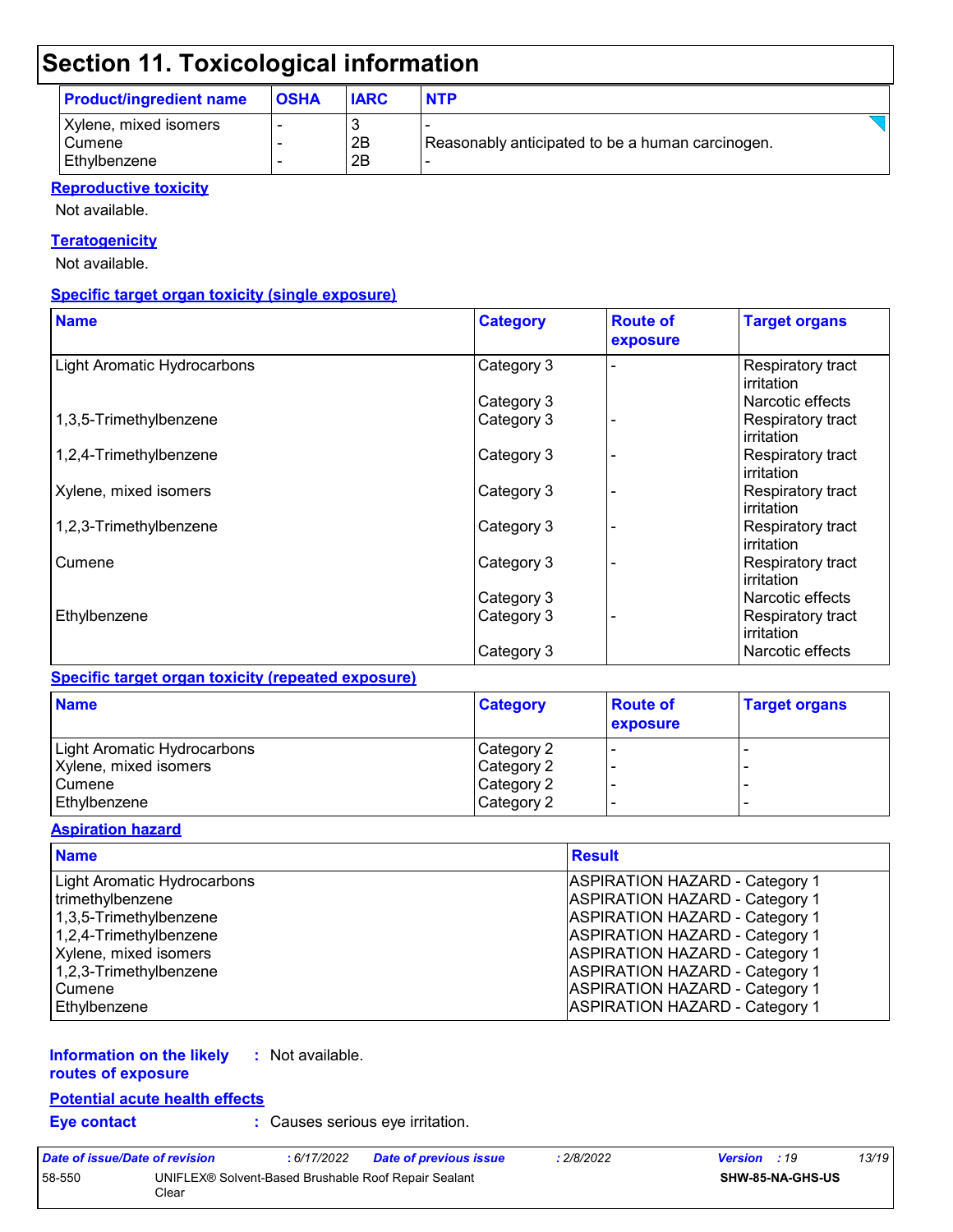| <b>Product/ingredient name</b>                    | <b>OSHA</b> | <b>IARC</b> | <b>NTP</b>                                       |
|---------------------------------------------------|-------------|-------------|--------------------------------------------------|
| Xylene, mixed isomers<br>l Cumene<br>Ethylbenzene |             | 2B<br>2B    | Reasonably anticipated to be a human carcinogen. |

#### **Reproductive toxicity**

Not available.

#### **Teratogenicity**

Not available.

#### **Specific target organ toxicity (single exposure)**

| <b>Name</b>                        | <b>Category</b> | <b>Route of</b><br>exposure | <b>Target organs</b>            |
|------------------------------------|-----------------|-----------------------------|---------------------------------|
| <b>Light Aromatic Hydrocarbons</b> | Category 3      |                             | Respiratory tract<br>irritation |
|                                    | Category 3      |                             | Narcotic effects                |
| 1,3,5-Trimethylbenzene             | Category 3      |                             | Respiratory tract<br>irritation |
| 1,2,4-Trimethylbenzene             | Category 3      |                             | Respiratory tract<br>irritation |
| Xylene, mixed isomers              | Category 3      |                             | Respiratory tract<br>irritation |
| 1,2,3-Trimethylbenzene             | Category 3      |                             | Respiratory tract<br>irritation |
| Cumene                             | Category 3      |                             | Respiratory tract<br>irritation |
|                                    | Category 3      |                             | Narcotic effects                |
| Ethylbenzene                       | Category 3      |                             | Respiratory tract<br>irritation |
|                                    | Category 3      |                             | Narcotic effects                |

#### **Specific target organ toxicity (repeated exposure)**

| <b>Name</b>                        | <b>Category</b> | <b>Route of</b><br>exposure | <b>Target organs</b> |
|------------------------------------|-----------------|-----------------------------|----------------------|
| <b>Light Aromatic Hydrocarbons</b> | Category 2      |                             |                      |
| Xylene, mixed isomers              | Category 2      |                             |                      |
| <b>Cumene</b>                      | Category 2      |                             |                      |
| Ethylbenzene                       | Category 2      |                             | -                    |

#### **Aspiration hazard**

| <b>Name</b>                 | <b>Result</b>                         |
|-----------------------------|---------------------------------------|
| Light Aromatic Hydrocarbons | <b>ASPIRATION HAZARD - Category 1</b> |
| trimethylbenzene            | <b>ASPIRATION HAZARD - Category 1</b> |
| 1,3,5-Trimethylbenzene      | <b>ASPIRATION HAZARD - Category 1</b> |
| 1,2,4-Trimethylbenzene      | <b>ASPIRATION HAZARD - Category 1</b> |
| Xylene, mixed isomers       | <b>ASPIRATION HAZARD - Category 1</b> |
| 1,2,3-Trimethylbenzene      | <b>ASPIRATION HAZARD - Category 1</b> |
| Cumene                      | <b>ASPIRATION HAZARD - Category 1</b> |
| Ethylbenzene                | <b>ASPIRATION HAZARD - Category 1</b> |

#### **Information on the likely routes of exposure :** Not available.

**Potential acute health effects**

**Eye contact :** Causes serious eye irritation.

| Date of issue/Date of revision |                                                               | : 6/17/2022 | Date of previous issue | : 2/8/2022 | <b>Version</b> : 19 |                         | 13/19 |
|--------------------------------|---------------------------------------------------------------|-------------|------------------------|------------|---------------------|-------------------------|-------|
| 58-550                         | UNIFLEX® Solvent-Based Brushable Roof Repair Sealant<br>Clear |             |                        |            |                     | <b>SHW-85-NA-GHS-US</b> |       |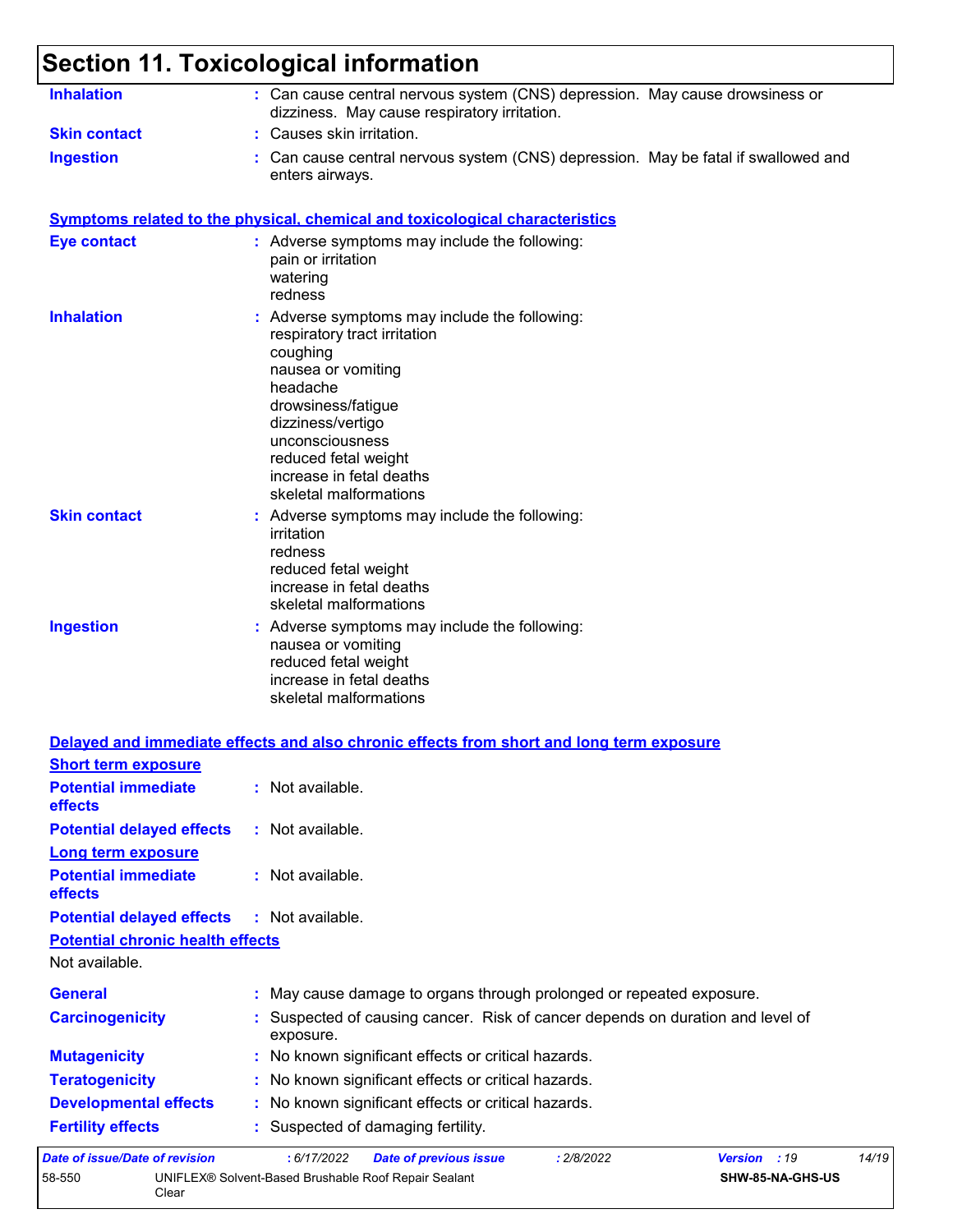58-550 UNIFLEX® Solvent-Based Brushable Roof Repair Sealant

Clear

| <b>Inhalation</b>                       | : Can cause central nervous system (CNS) depression. May cause drowsiness or<br>dizziness. May cause respiratory irritation.                                                                                                                                            |                       |
|-----------------------------------------|-------------------------------------------------------------------------------------------------------------------------------------------------------------------------------------------------------------------------------------------------------------------------|-----------------------|
| <b>Skin contact</b>                     | : Causes skin irritation.                                                                                                                                                                                                                                               |                       |
| <b>Ingestion</b>                        | Can cause central nervous system (CNS) depression. May be fatal if swallowed and<br>enters airways.                                                                                                                                                                     |                       |
|                                         | <b>Symptoms related to the physical, chemical and toxicological characteristics</b>                                                                                                                                                                                     |                       |
| <b>Eye contact</b>                      | : Adverse symptoms may include the following:<br>pain or irritation<br>watering<br>redness                                                                                                                                                                              |                       |
| <b>Inhalation</b>                       | : Adverse symptoms may include the following:<br>respiratory tract irritation<br>coughing<br>nausea or vomiting<br>headache<br>drowsiness/fatigue<br>dizziness/vertigo<br>unconsciousness<br>reduced fetal weight<br>increase in fetal deaths<br>skeletal malformations |                       |
| <b>Skin contact</b>                     | Adverse symptoms may include the following:<br>irritation<br>redness<br>reduced fetal weight<br>increase in fetal deaths<br>skeletal malformations                                                                                                                      |                       |
| <b>Ingestion</b>                        | : Adverse symptoms may include the following:<br>nausea or vomiting<br>reduced fetal weight<br>increase in fetal deaths<br>skeletal malformations                                                                                                                       |                       |
|                                         | Delayed and immediate effects and also chronic effects from short and long term exposure                                                                                                                                                                                |                       |
| <b>Short term exposure</b>              |                                                                                                                                                                                                                                                                         |                       |
| <b>Potential immediate</b><br>effects   | : Not available.                                                                                                                                                                                                                                                        |                       |
| <b>Potential delayed effects</b>        | : Not available.                                                                                                                                                                                                                                                        |                       |
| <b>Long term exposure</b>               |                                                                                                                                                                                                                                                                         |                       |
| <b>Potential immediate</b><br>effects   | : Not available.                                                                                                                                                                                                                                                        |                       |
| <b>Potential delayed effects</b>        | : Not available.                                                                                                                                                                                                                                                        |                       |
| <b>Potential chronic health effects</b> |                                                                                                                                                                                                                                                                         |                       |
| Not available.                          |                                                                                                                                                                                                                                                                         |                       |
| <b>General</b>                          | : May cause damage to organs through prolonged or repeated exposure.                                                                                                                                                                                                    |                       |
| <b>Carcinogenicity</b>                  | Suspected of causing cancer. Risk of cancer depends on duration and level of<br>exposure.                                                                                                                                                                               |                       |
| <b>Mutagenicity</b>                     | : No known significant effects or critical hazards.                                                                                                                                                                                                                     |                       |
| <b>Teratogenicity</b>                   | : No known significant effects or critical hazards.                                                                                                                                                                                                                     |                       |
| <b>Developmental effects</b>            | : No known significant effects or critical hazards.                                                                                                                                                                                                                     |                       |
| <b>Fertility effects</b>                | Suspected of damaging fertility.                                                                                                                                                                                                                                        |                       |
| Date of issue/Date of revision          | : 6/17/2022<br><b>Date of previous issue</b><br>: 2/8/2022                                                                                                                                                                                                              | Version : 19<br>14/19 |

**SHW-85-NA-GHS-US**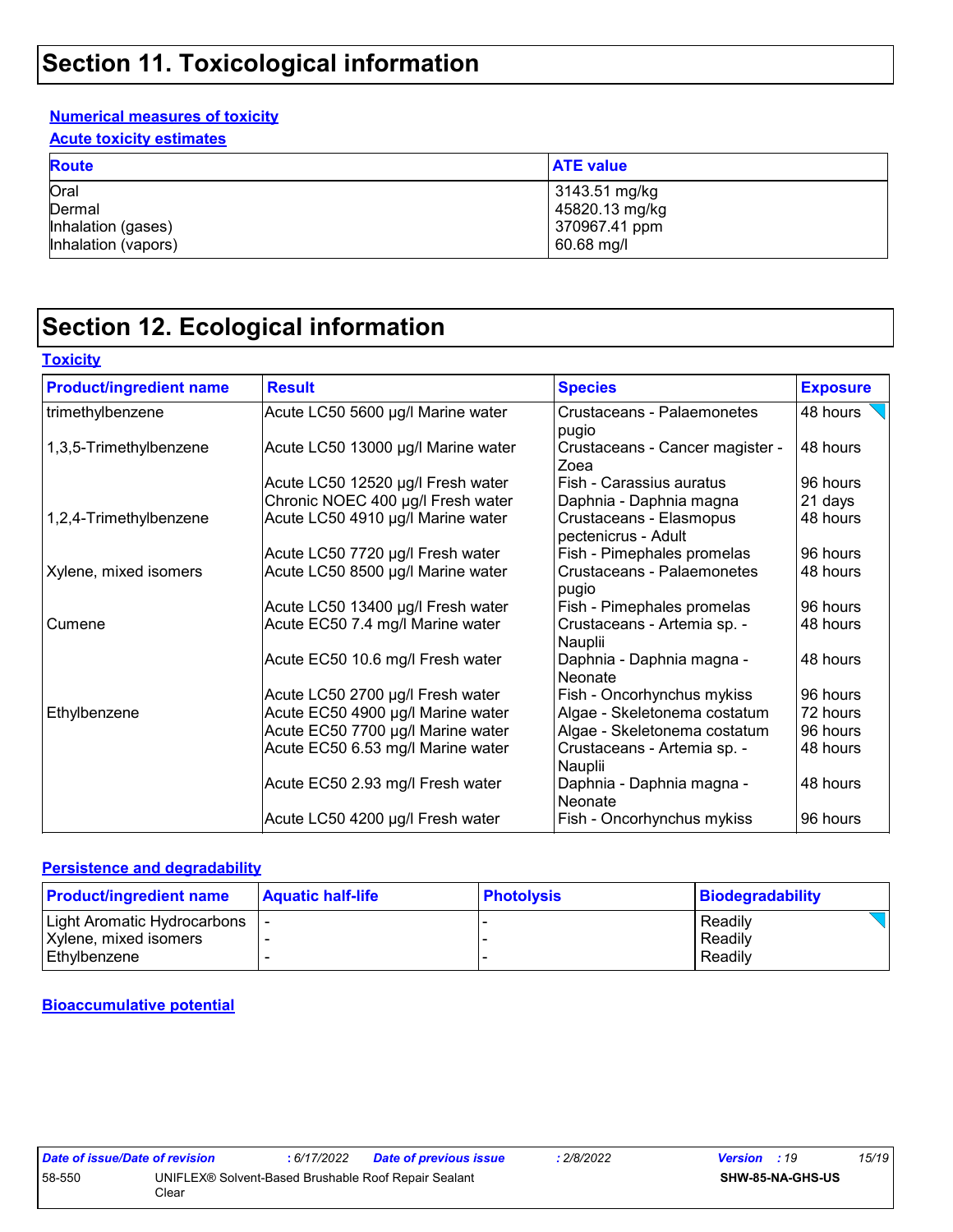#### **Numerical measures of toxicity**

**Acute toxicity estimates**

| <b>Route</b>                         | <b>ATE value</b>                                 |
|--------------------------------------|--------------------------------------------------|
| Oral<br>Dermal<br>Inhalation (gases) | 3143.51 mg/kg<br>45820.13 mg/kg<br>370967.41 ppm |
| Inhalation (vapors)                  | 60.68 mg/l                                       |

### **Section 12. Ecological information**

| <b>Product/ingredient name</b> | <b>Result</b>                      | <b>Species</b>                                 | <b>Exposure</b> |
|--------------------------------|------------------------------------|------------------------------------------------|-----------------|
| trimethylbenzene               | Acute LC50 5600 µg/l Marine water  | Crustaceans - Palaemonetes<br>pugio            | 48 hours        |
| 1,3,5-Trimethylbenzene         | Acute LC50 13000 µg/l Marine water | Crustaceans - Cancer magister -<br>Zoea        | 48 hours        |
|                                | Acute LC50 12520 µg/l Fresh water  | Fish - Carassius auratus                       | 96 hours        |
|                                | Chronic NOEC 400 µg/l Fresh water  | Daphnia - Daphnia magna                        | 21 days         |
| 1,2,4-Trimethylbenzene         | Acute LC50 4910 µg/l Marine water  | Crustaceans - Elasmopus<br>pectenicrus - Adult | 48 hours        |
|                                | Acute LC50 7720 µg/l Fresh water   | Fish - Pimephales promelas                     | 96 hours        |
| Xylene, mixed isomers          | Acute LC50 8500 µg/l Marine water  | Crustaceans - Palaemonetes<br>pugio            | 48 hours        |
|                                | Acute LC50 13400 µg/l Fresh water  | Fish - Pimephales promelas                     | 96 hours        |
| Cumene                         | Acute EC50 7.4 mg/l Marine water   | Crustaceans - Artemia sp. -<br>Nauplii         | 48 hours        |
|                                | Acute EC50 10.6 mg/l Fresh water   | Daphnia - Daphnia magna -<br>l Neonate         | 48 hours        |
|                                | Acute LC50 2700 µg/l Fresh water   | Fish - Oncorhynchus mykiss                     | 96 hours        |
| Ethylbenzene                   | Acute EC50 4900 µg/l Marine water  | Algae - Skeletonema costatum                   | 72 hours        |
|                                | Acute EC50 7700 µg/l Marine water  | Algae - Skeletonema costatum                   | 96 hours        |
|                                | Acute EC50 6.53 mg/l Marine water  | Crustaceans - Artemia sp. -<br>Nauplii         | 48 hours        |
|                                | Acute EC50 2.93 mg/l Fresh water   | Daphnia - Daphnia magna -<br>Neonate           | 48 hours        |
|                                | Acute LC50 4200 µg/l Fresh water   | Fish - Oncorhynchus mykiss                     | 96 hours        |

#### **Persistence and degradability**

| <b>Product/ingredient name</b> | <b>Aquatic half-life</b> | <b>Photolysis</b> | Biodegradability |
|--------------------------------|--------------------------|-------------------|------------------|
| Light Aromatic Hydrocarbons    |                          |                   | Readily          |
| Xylene, mixed isomers          |                          |                   | Readily          |
| Ethylbenzene                   |                          |                   | Readily          |

#### **Bioaccumulative potential**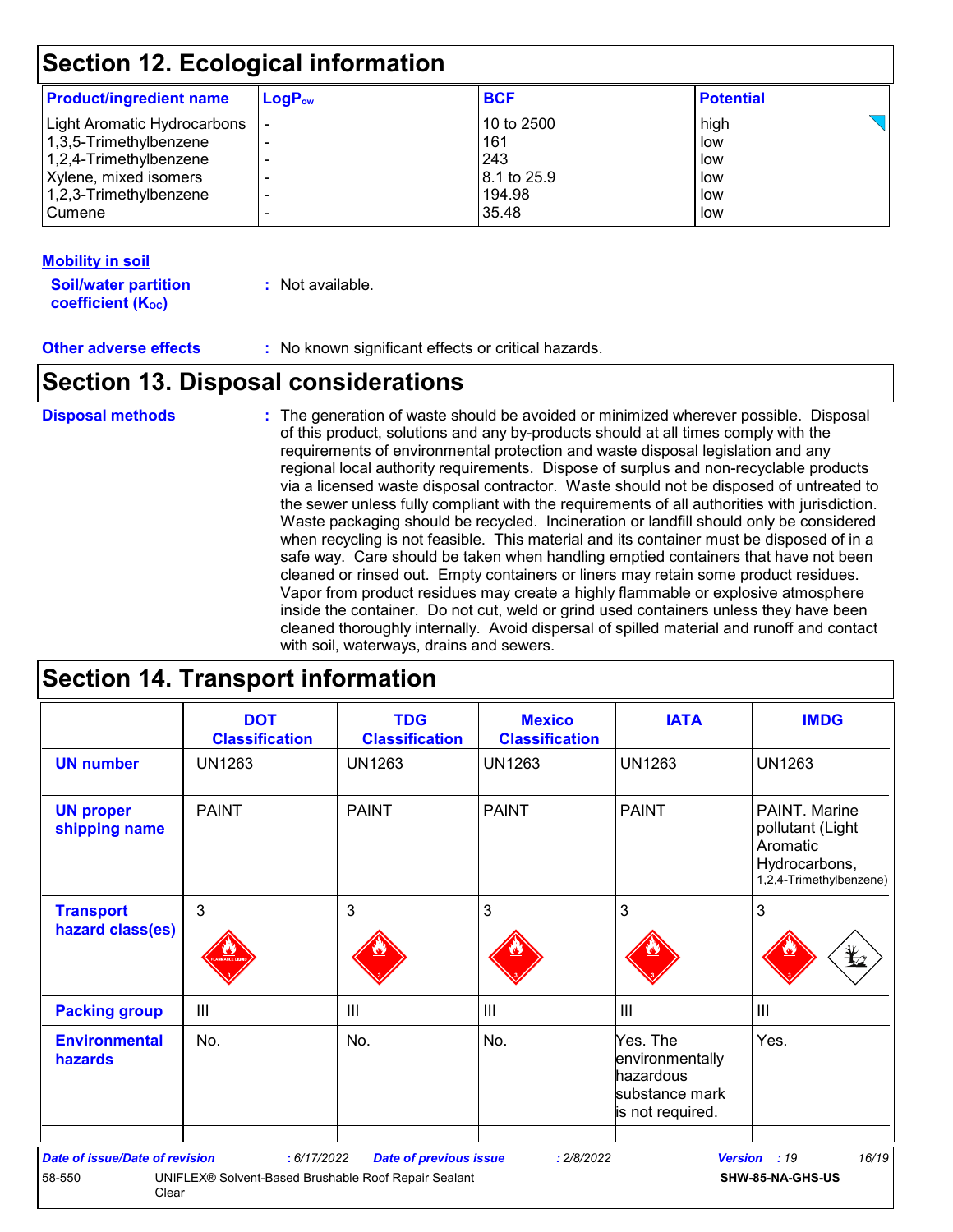| <b>Product/ingredient name</b> | $\mathsf{LogP}_\mathsf{ow}$ | <b>BCF</b>  | <b>Potential</b> |
|--------------------------------|-----------------------------|-------------|------------------|
| Light Aromatic Hydrocarbons    |                             | 10 to 2500  | high             |
| 1,3,5-Trimethylbenzene         |                             | 161         | low              |
| $1,2,4$ -Trimethylbenzene      |                             | 243         | low              |
| Xylene, mixed isomers          |                             | 8.1 to 25.9 | low              |
| $1,2,3$ -Trimethylbenzene      |                             | 194.98      | low              |
| <b>Cumene</b>                  |                             | 35.48       | low              |
|                                |                             |             |                  |

#### **Mobility in soil**

**Soil/water partition coefficient (KOC)**

**:** Not available.

**Other adverse effects** : No known significant effects or critical hazards.

### **Section 13. Disposal considerations**

#### **Disposal methods :**

The generation of waste should be avoided or minimized wherever possible. Disposal of this product, solutions and any by-products should at all times comply with the requirements of environmental protection and waste disposal legislation and any regional local authority requirements. Dispose of surplus and non-recyclable products via a licensed waste disposal contractor. Waste should not be disposed of untreated to the sewer unless fully compliant with the requirements of all authorities with jurisdiction. Waste packaging should be recycled. Incineration or landfill should only be considered when recycling is not feasible. This material and its container must be disposed of in a safe way. Care should be taken when handling emptied containers that have not been cleaned or rinsed out. Empty containers or liners may retain some product residues. Vapor from product residues may create a highly flammable or explosive atmosphere inside the container. Do not cut, weld or grind used containers unless they have been cleaned thoroughly internally. Avoid dispersal of spilled material and runoff and contact with soil, waterways, drains and sewers.

### **Section 14. Transport information**

|                                        | <b>DOT</b><br><b>Classification</b> | <b>TDG</b><br><b>Classification</b> | <b>Mexico</b><br><b>Classification</b> | <b>IATA</b>                                                                    | <b>IMDG</b>                                                                               |
|----------------------------------------|-------------------------------------|-------------------------------------|----------------------------------------|--------------------------------------------------------------------------------|-------------------------------------------------------------------------------------------|
| <b>UN number</b>                       | <b>UN1263</b>                       | <b>UN1263</b>                       | <b>UN1263</b>                          | <b>UN1263</b>                                                                  | <b>UN1263</b>                                                                             |
| <b>UN proper</b><br>shipping name      | <b>PAINT</b>                        | <b>PAINT</b>                        | <b>PAINT</b>                           | <b>PAINT</b>                                                                   | PAINT, Marine<br>pollutant (Light<br>Aromatic<br>Hydrocarbons,<br>1,2,4-Trimethylbenzene) |
| <b>Transport</b><br>hazard class(es)   | 3                                   | 3                                   | $\mathbf{3}$                           | 3                                                                              | 3<br>q                                                                                    |
| <b>Packing group</b>                   | $\mathbf{III}$                      | $\mathbf{III}$                      | $\mathbf{III}$                         | III                                                                            | $\mathbf{III}$                                                                            |
| <b>Environmental</b><br><b>hazards</b> | No.                                 | No.                                 | No.                                    | Yes. The<br>environmentally<br>hazardous<br>substance mark<br>is not required. | Yes.                                                                                      |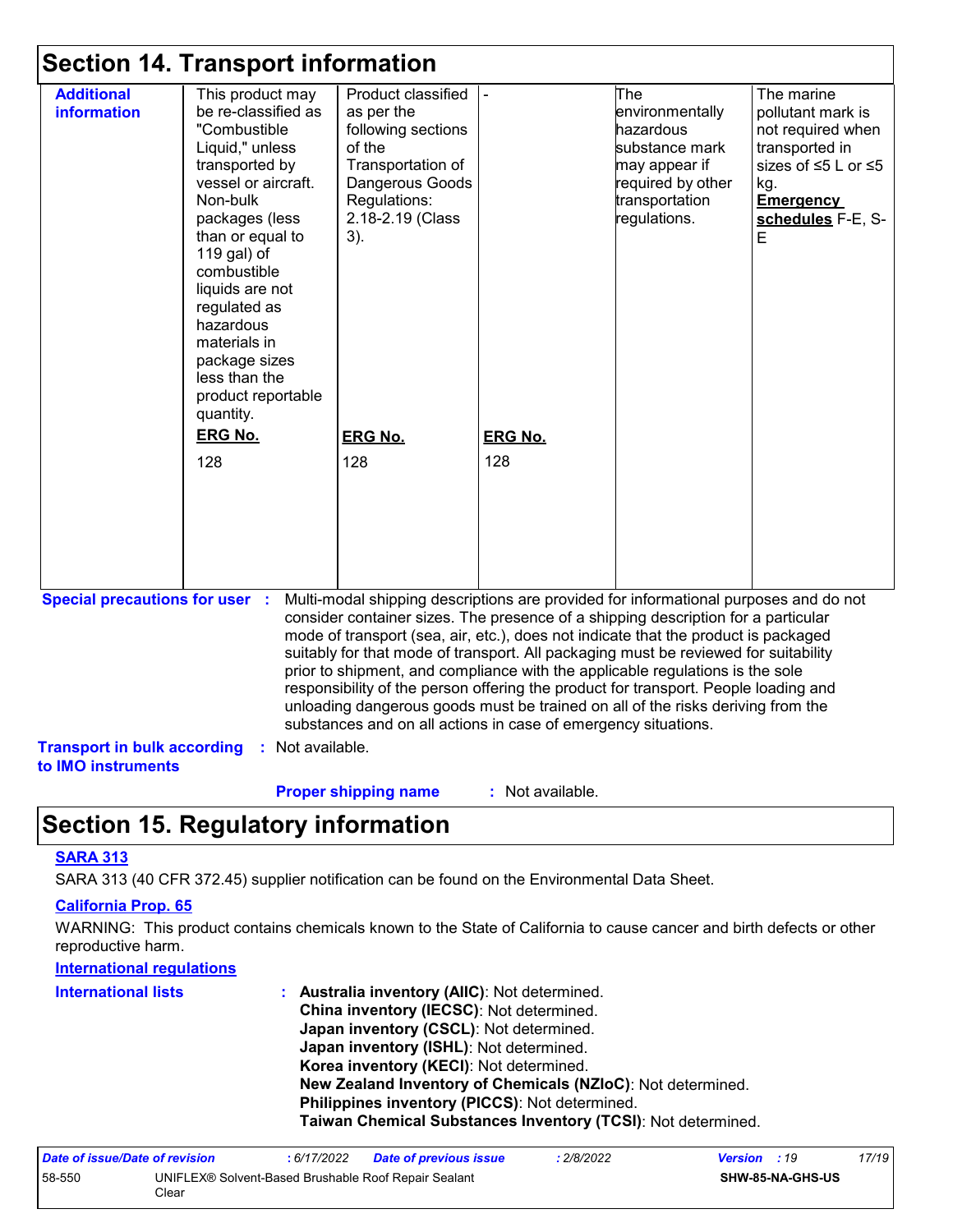### **Section 14. Transport information**

|                                                          | This product may    | Product classified                                                                  |                | The                                                                                  | The marine          |
|----------------------------------------------------------|---------------------|-------------------------------------------------------------------------------------|----------------|--------------------------------------------------------------------------------------|---------------------|
| <b>information</b>                                       | be re-classified as | as per the                                                                          |                | environmentally                                                                      | pollutant mark is   |
|                                                          | "Combustible        | following sections                                                                  |                | hazardous                                                                            | not required when   |
|                                                          | Liquid," unless     | of the                                                                              |                | substance mark                                                                       | transported in      |
|                                                          | transported by      | Transportation of                                                                   |                | may appear if                                                                        | sizes of ≤5 L or ≤5 |
|                                                          | vessel or aircraft. | Dangerous Goods                                                                     |                | required by other                                                                    | kg.                 |
|                                                          | Non-bulk            | Regulations:                                                                        |                | transportation                                                                       | <b>Emergency</b>    |
|                                                          | packages (less      | 2.18-2.19 (Class                                                                    |                | regulations.                                                                         | schedules F-E, S-   |
|                                                          | than or equal to    | $3)$ .                                                                              |                |                                                                                      | Е                   |
|                                                          | 119 gal) of         |                                                                                     |                |                                                                                      |                     |
|                                                          | combustible         |                                                                                     |                |                                                                                      |                     |
|                                                          | liquids are not     |                                                                                     |                |                                                                                      |                     |
|                                                          | regulated as        |                                                                                     |                |                                                                                      |                     |
|                                                          | hazardous           |                                                                                     |                |                                                                                      |                     |
|                                                          | materials in        |                                                                                     |                |                                                                                      |                     |
|                                                          | package sizes       |                                                                                     |                |                                                                                      |                     |
|                                                          | less than the       |                                                                                     |                |                                                                                      |                     |
|                                                          | product reportable  |                                                                                     |                |                                                                                      |                     |
|                                                          | quantity.           |                                                                                     |                |                                                                                      |                     |
|                                                          |                     |                                                                                     |                |                                                                                      |                     |
|                                                          | <b>ERG No.</b>      | <b>ERG No.</b>                                                                      | <b>ERG No.</b> |                                                                                      |                     |
|                                                          | 128                 | 128                                                                                 | 128            |                                                                                      |                     |
|                                                          |                     |                                                                                     |                |                                                                                      |                     |
|                                                          |                     |                                                                                     |                |                                                                                      |                     |
|                                                          |                     |                                                                                     |                |                                                                                      |                     |
|                                                          |                     |                                                                                     |                |                                                                                      |                     |
|                                                          |                     |                                                                                     |                |                                                                                      |                     |
|                                                          |                     |                                                                                     |                |                                                                                      |                     |
|                                                          |                     |                                                                                     |                |                                                                                      |                     |
|                                                          |                     |                                                                                     |                | Multi-modal shipping descriptions are provided for informational purposes and do not |                     |
|                                                          |                     |                                                                                     |                |                                                                                      |                     |
|                                                          |                     | consider container sizes. The presence of a shipping description for a particular   |                |                                                                                      |                     |
|                                                          |                     | mode of transport (sea, air, etc.), does not indicate that the product is packaged  |                |                                                                                      |                     |
|                                                          |                     | suitably for that mode of transport. All packaging must be reviewed for suitability |                |                                                                                      |                     |
|                                                          |                     | prior to shipment, and compliance with the applicable regulations is the sole       |                |                                                                                      |                     |
| <b>Special precautions for user :</b>                    |                     | responsibility of the person offering the product for transport. People loading and |                |                                                                                      |                     |
|                                                          |                     | unloading dangerous goods must be trained on all of the risks deriving from the     |                |                                                                                      |                     |
|                                                          |                     | substances and on all actions in case of emergency situations.                      |                |                                                                                      |                     |
| <b>Transport in bulk according</b><br>to IMO instruments | : Not available.    |                                                                                     |                |                                                                                      |                     |

### **Section 15. Regulatory information**

#### **SARA 313**

SARA 313 (40 CFR 372.45) supplier notification can be found on the Environmental Data Sheet.

#### **California Prop. 65**

WARNING: This product contains chemicals known to the State of California to cause cancer and birth defects or other reproductive harm.

#### **International regulations**

| <b>International lists</b> | : Australia inventory (AIIC): Not determined.                |
|----------------------------|--------------------------------------------------------------|
|                            | China inventory (IECSC): Not determined.                     |
|                            | Japan inventory (CSCL): Not determined.                      |
|                            | Japan inventory (ISHL): Not determined.                      |
|                            | Korea inventory (KECI): Not determined.                      |
|                            | New Zealand Inventory of Chemicals (NZIoC): Not determined.  |
|                            | Philippines inventory (PICCS): Not determined.               |
|                            | Taiwan Chemical Substances Inventory (TCSI): Not determined. |

| Date of issue/Date of revision |                                                               | 6/17/2022 | <b>Date of previous issue</b> | : 2/8/2022 | <b>Version</b> : 19 |                         | 17/19 |
|--------------------------------|---------------------------------------------------------------|-----------|-------------------------------|------------|---------------------|-------------------------|-------|
| 58-550                         | UNIFLEX® Solvent-Based Brushable Roof Repair Sealant<br>Clear |           |                               |            |                     | <b>SHW-85-NA-GHS-US</b> |       |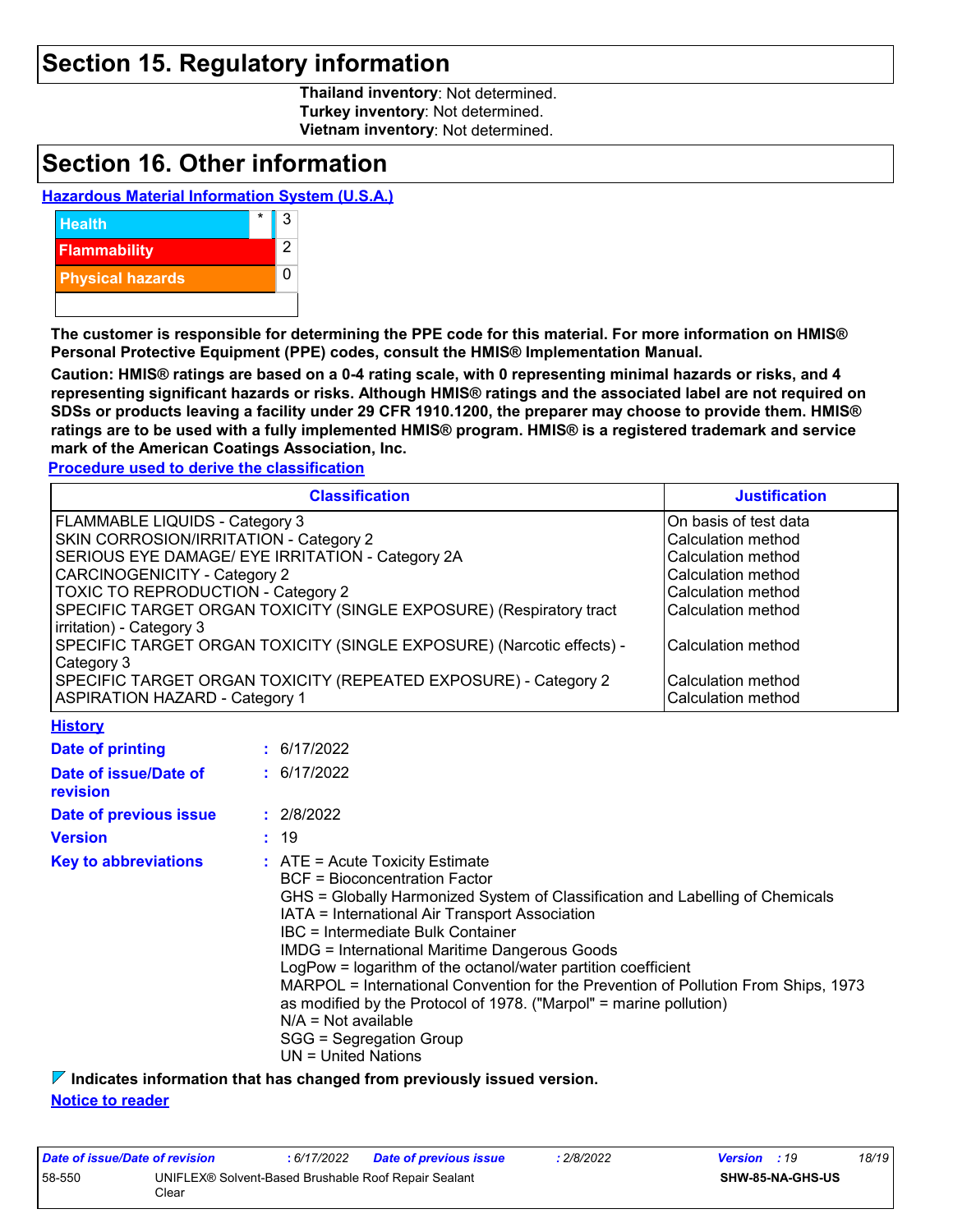### **Section 15. Regulatory information**

**Thailand inventory**: Not determined. **Turkey inventory**: Not determined. **Vietnam inventory**: Not determined.

### **Section 16. Other information**

#### **Hazardous Material Information System (U.S.A.)**



**The customer is responsible for determining the PPE code for this material. For more information on HMIS® Personal Protective Equipment (PPE) codes, consult the HMIS® Implementation Manual.**

**Caution: HMIS® ratings are based on a 0-4 rating scale, with 0 representing minimal hazards or risks, and 4 representing significant hazards or risks. Although HMIS® ratings and the associated label are not required on SDSs or products leaving a facility under 29 CFR 1910.1200, the preparer may choose to provide them. HMIS® ratings are to be used with a fully implemented HMIS® program. HMIS® is a registered trademark and service mark of the American Coatings Association, Inc.**

**Procedure used to derive the classification**

| <b>Classification</b>                                                                           | <b>Justification</b>  |
|-------------------------------------------------------------------------------------------------|-----------------------|
| FLAMMABLE LIQUIDS - Category 3                                                                  | On basis of test data |
| SKIN CORROSION/IRRITATION - Category 2                                                          | Calculation method    |
| SERIOUS EYE DAMAGE/ EYE IRRITATION - Category 2A                                                | Calculation method    |
| CARCINOGENICITY - Category 2                                                                    | Calculation method    |
| <b>TOXIC TO REPRODUCTION - Category 2</b>                                                       | Calculation method    |
| SPECIFIC TARGET ORGAN TOXICITY (SINGLE EXPOSURE) (Respiratory tract<br>irritation) - Category 3 | Calculation method    |
| SPECIFIC TARGET ORGAN TOXICITY (SINGLE EXPOSURE) (Narcotic effects) -<br>Category 3             | Calculation method    |
| SPECIFIC TARGET ORGAN TOXICITY (REPEATED EXPOSURE) - Category 2                                 | Calculation method    |
| <b>ASPIRATION HAZARD - Category 1</b>                                                           | Calculation method    |
| <b>History</b>                                                                                  |                       |
| <b>Product of a startings</b><br>0.01170000                                                     |                       |

| Date of printing                  | : 6/17/2022                                                                                                                                                                                                                                                                                                                                                                                                                                                                                                                                                                                                           |
|-----------------------------------|-----------------------------------------------------------------------------------------------------------------------------------------------------------------------------------------------------------------------------------------------------------------------------------------------------------------------------------------------------------------------------------------------------------------------------------------------------------------------------------------------------------------------------------------------------------------------------------------------------------------------|
| Date of issue/Date of<br>revision | : 6/17/2022                                                                                                                                                                                                                                                                                                                                                                                                                                                                                                                                                                                                           |
| Date of previous issue            | : 2/8/2022                                                                                                                                                                                                                                                                                                                                                                                                                                                                                                                                                                                                            |
| <b>Version</b>                    | : 19                                                                                                                                                                                                                                                                                                                                                                                                                                                                                                                                                                                                                  |
| <b>Key to abbreviations</b>       | $\therefore$ ATE = Acute Toxicity Estimate<br>BCF = Bioconcentration Factor<br>GHS = Globally Harmonized System of Classification and Labelling of Chemicals<br>IATA = International Air Transport Association<br>IBC = Intermediate Bulk Container<br><b>IMDG = International Maritime Dangerous Goods</b><br>LogPow = logarithm of the octanol/water partition coefficient<br>MARPOL = International Convention for the Prevention of Pollution From Ships, 1973<br>as modified by the Protocol of 1978. ("Marpol" = marine pollution)<br>$N/A = Not available$<br>SGG = Segregation Group<br>$UN = United Nations$ |

**Indicates information that has changed from previously issued version.**

#### **Notice to reader**

| Date of issue/Date of revision |                                                               | : 6/17/2022 | <b>Date of previous issue</b> | : 2/8/2022 | <b>Version</b> : 19 |                         | 18/19 |
|--------------------------------|---------------------------------------------------------------|-------------|-------------------------------|------------|---------------------|-------------------------|-------|
| 58-550                         | UNIFLEX® Solvent-Based Brushable Roof Repair Sealant<br>Clear |             |                               |            |                     | <b>SHW-85-NA-GHS-US</b> |       |